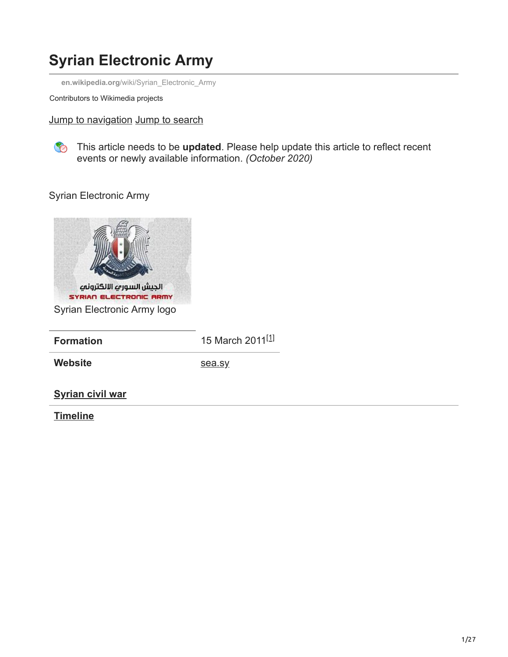# **Syrian Electronic Army**

**en.wikipedia.org**[/wiki/Syrian\\_Electronic\\_Army](https://en.wikipedia.org/wiki/Syrian_Electronic_Army)

Contributors to Wikimedia projects

Jump to navigation Jump to search

This article needs to be **updated**. Please help update this article to reflect recent events or newly available information. *(October 2020)*

Syrian Electronic Army



| <b>Formation</b>        | 15 March 2011 <sup>[1]</sup> |
|-------------------------|------------------------------|
| Website                 | sea.sy                       |
| <b>Syrian civil war</b> |                              |

**[Timeline](https://en.wikipedia.org/wiki/Timeline_of_the_Syrian_civil_war)**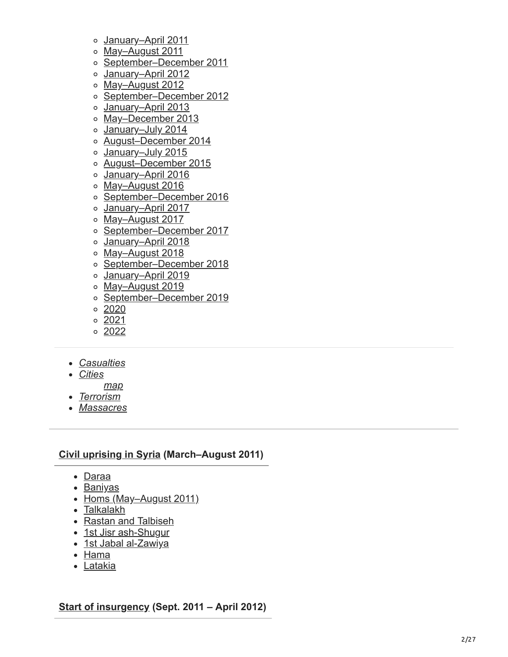- January-April 2011
- [May–August 201](https://en.wikipedia.org/wiki/Timeline_of_the_Syrian_civil_war_(May%E2%80%93August_2011)) 1
- [September–December 201](https://en.wikipedia.org/wiki/Timeline_of_the_Syrian_civil_war_(September%E2%80%93December_2011)) 1
- [January–April 2012](https://en.wikipedia.org/wiki/Timeline_of_the_Syrian_civil_war_(January%E2%80%93April_2012))
- [May–August 2012](https://en.wikipedia.org/wiki/Timeline_of_the_Syrian_civil_war_(May%E2%80%93August_2012))
- [September–December 2012](https://en.wikipedia.org/wiki/Timeline_of_the_Syrian_civil_war_(September%E2%80%93December_2012))
- o January-April 2013
- o May-December 2013
- o January-July 2014
- [August–December 2014](https://en.wikipedia.org/wiki/Timeline_of_the_Syrian_civil_war_(August%E2%80%93December_2014))
- [January–July 2015](https://en.wikipedia.org/wiki/Timeline_of_the_Syrian_civil_war_(January%E2%80%93July_2015))
- [August–December 2015](https://en.wikipedia.org/wiki/Timeline_of_the_Syrian_civil_war_(August%E2%80%93December_2015))
- [January–April 2016](https://en.wikipedia.org/wiki/Timeline_of_the_Syrian_civil_war_(January%E2%80%93April_2016))
- [May–August 2016](https://en.wikipedia.org/wiki/Timeline_of_the_Syrian_civil_war_(May%E2%80%93August_2016))
- [September–December 2016](https://en.wikipedia.org/wiki/Timeline_of_the_Syrian_civil_war_(September%E2%80%93December_2016))
- o January-April 2017
- o May-August 2017
- o [September–December 2017](https://en.wikipedia.org/wiki/Timeline_of_the_Syrian_civil_war_(September%E2%80%93December_2017))
- o January-April 2018
- [May–August 2018](https://en.wikipedia.org/wiki/Timeline_of_the_Syrian_civil_war_(May%E2%80%93August_2018))
- [September–December 2018](https://en.wikipedia.org/wiki/Timeline_of_the_Syrian_civil_war_(September%E2%80%93December_2018))
- [January–April 2019](https://en.wikipedia.org/wiki/Timeline_of_the_Syrian_civil_war_(January%E2%80%93April_2019))
- [May–August 2019](https://en.wikipedia.org/wiki/Timeline_of_the_Syrian_civil_war_(May%E2%80%93August_2019))
- [September–December 2019](https://en.wikipedia.org/wiki/Timeline_of_the_Syrian_civil_war_(September%E2%80%93December_2019))
- $\circ$  [2020](https://en.wikipedia.org/wiki/Timeline_of_the_Syrian_civil_war_(2020))
- [2021](https://en.wikipedia.org/wiki/Timeline_of_the_Syrian_civil_war_(2021))
- $02022$  $02022$
- *[Casualties](https://en.wikipedia.org/wiki/Casualties_of_the_Syrian_Civil_War)*
- *[Cities](https://en.wikipedia.org/wiki/Cities_and_towns_during_the_Syrian_Civil_War)*
	- *[map](https://en.wikipedia.org/wiki/Template:Syrian_Civil_War_detailed_map)*
- *[Terrorism](https://en.wikipedia.org/wiki/List_of_terrorist_incidents_in_Syria)*
- *[Massacres](https://en.wikipedia.org/wiki/List_of_massacres_during_the_Syrian_Civil_War)*

#### **[Civil uprising in Syria](https://en.wikipedia.org/wiki/Civil_uprising_phase_of_the_Syrian_civil_war) (March–August 2011)**

- [Daraa](https://en.wikipedia.org/wiki/Siege_of_Daraa)
- [Baniyas](https://en.wikipedia.org/wiki/Siege_of_Baniyas)
- [Homs \(May–August 2011\)](https://en.wikipedia.org/wiki/Siege_of_Homs)
- [Talkalakh](https://en.wikipedia.org/wiki/Siege_of_Talkalakh_(May_2011))
- [Rastan and Talbiseh](https://en.wikipedia.org/wiki/Siege_of_Rastan_and_Talbiseh)
- [1st Jisr ash-Shugur](https://en.wikipedia.org/wiki/June_2011_Jisr_ash-Shugur_clashes)
- [1st Jabal al-Zawiya](https://en.wikipedia.org/wiki/Summer_2011_Jabal_al-Zawiya_operation)
- [Hama](https://en.wikipedia.org/wiki/Siege_of_Hama_(2011))
- [Latakia](https://en.wikipedia.org/wiki/Siege_of_Latakia)

**[Start of insurgency](https://en.wikipedia.org/wiki/Early_insurgency_phase_of_the_Syrian_civil_war) (Sept. 2011 – April 2012)**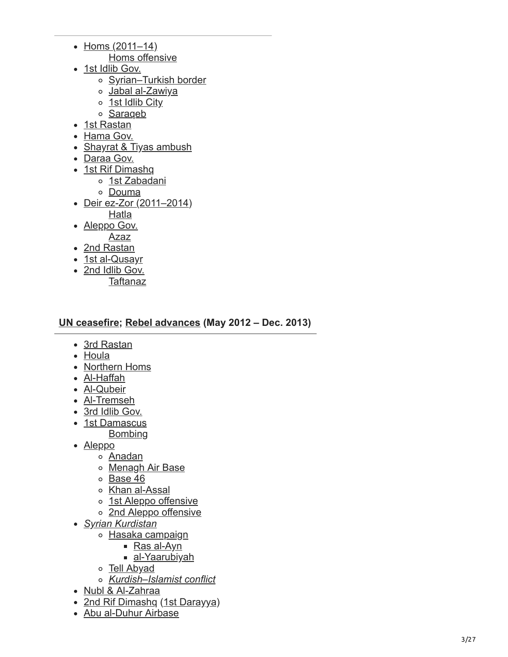- $\bullet$  [Homs \(2011–14\)](https://en.wikipedia.org/wiki/Siege_of_Homs)
	- [Homs offensive](https://en.wikipedia.org/wiki/2012_Homs_offensive)
- [1st Idlib Gov.](https://en.wikipedia.org/wiki/Idlib_Governorate_clashes_(September_2011_%E2%80%93_March_2012))
	- [Syrian–Turkish border](https://en.wikipedia.org/wiki/December_2011_Syrian%E2%80%93Turkish_border_clash)
	- o [Jabal al-Zawiya](https://en.wikipedia.org/wiki/December_2011_Jabal_al-Zawiya_massacres)
	- o [1st Idlib City](https://en.wikipedia.org/wiki/Battle_of_Idlib_(2012))
	- o [Saraqeb](https://en.wikipedia.org/wiki/Battle_of_Saraqib)
- [1st Rastan](https://en.wikipedia.org/wiki/Battle_of_Rastan_(2011))
- [Hama Gov.](https://en.wikipedia.org/wiki/Hama_Governorate_clashes_(2011%E2%80%932012))
- [Shayrat & Tiyas ambush](https://en.wikipedia.org/wiki/Shayrat_and_Tiyas_airbase_ambush)
- [Daraa Gov.](https://en.wikipedia.org/wiki/Daraa_Governorate_clashes_(2011%E2%80%932013))
- [1st Rif Dimashq](https://en.wikipedia.org/wiki/Rif_Dimashq_clashes_(November_2011%E2%80%93March_2012))
	- [1st Zabadani](https://en.wikipedia.org/wiki/Battle_of_Zabadani_(2012))
	- [Douma](https://en.wikipedia.org/wiki/Battle_of_Douma)
- Deir ez-Zor (2011-2014)
	- [Hatla](https://en.wikipedia.org/wiki/Hatla_massacre)
- [Aleppo Gov.](https://en.wikipedia.org/wiki/2012_Aleppo_Governorate_clashes) [Azaz](https://en.wikipedia.org/wiki/Battle_of_Azaz_(2012))
- [2nd Rastan](https://en.wikipedia.org/wiki/Battle_of_Rastan_(January%E2%80%93February_2012))
- [1st al-Qusayr](https://en.wikipedia.org/wiki/Battle_of_al-Qusayr_(2012))
- [2nd Idlib Gov.](https://en.wikipedia.org/wiki/April_2012_Idlib_Governorate_Operation)
	- **[Taftanaz](https://en.wikipedia.org/wiki/Battle_of_Taftanaz)**

### **[UN ceasefire;](https://en.wikipedia.org/wiki/Kofi_Annan_Syrian_peace_plan) [Rebel advances](https://en.wikipedia.org/wiki/2012%E2%80%932013_escalation_of_the_Syrian_civil_war) (May 2012 – Dec. 2013)**

- [3rd Rastan](https://en.wikipedia.org/wiki/Battle_of_Rastan_(May_2012))
- [Houla](https://en.wikipedia.org/wiki/Houla_massacre)
- [Northern Homs](https://en.wikipedia.org/wiki/Siege_of_Northern_Homs)
- [Al-Haffah](https://en.wikipedia.org/wiki/Battle_of_al-Haffah)
- [Al-Qubeir](https://en.wikipedia.org/wiki/Al-Qubeir_massacre)
- [Al-Tremseh](https://en.wikipedia.org/wiki/Battle_of_Tremseh)
- [3rd Idlib Gov.](https://en.wikipedia.org/wiki/Idlib_Governorate_clashes_(June_2012%E2%80%93April_2013))
- [1st Damascus](https://en.wikipedia.org/wiki/Battle_of_Damascus_(2012)) [Bombing](https://en.wikipedia.org/wiki/18_July_2012_Damascus_bombing)
- [Aleppo](https://en.wikipedia.org/wiki/Battle_of_Aleppo_(2012%E2%80%932016))
	- [Anadan](https://en.wikipedia.org/wiki/Battle_of_Anadan)
	- [Menagh Air Base](https://en.wikipedia.org/wiki/Siege_of_Menagh_Air_Base)
	- o [Base 46](https://en.wikipedia.org/wiki/Siege_of_Base_46)
	- [Khan al-Assal](https://en.wikipedia.org/wiki/Khan_al-Assal_massacre)
	- [1st Aleppo offensive](https://en.wikipedia.org/wiki/Aleppo_offensive_(October%E2%80%93December_2013))
	- o [2nd Aleppo offensive](https://en.wikipedia.org/wiki/Operation_Canopus_Star)
- *[Syrian Kurdistan](https://en.wikipedia.org/wiki/Rojava_conflict)*
	- o [Hasaka campaign](https://en.wikipedia.org/wiki/Al-Hasakah_Governorate_campaign_(2012%E2%80%932013))
		- [Ras al-Ayn](https://en.wikipedia.org/wiki/Battle_of_Ras_al-Ayn_(2012%E2%80%9313))
			- [al-Yaarubiyah](https://en.wikipedia.org/wiki/Battle_of_al-Yaarubiyah)
	- [Tell Abyad](https://en.wikipedia.org/wiki/Battle_of_Tell_Abyad_(2013))
	- *[Kurdish–Islamist conflict](https://en.wikipedia.org/wiki/Rojava%E2%80%93Islamist_conflict)*
- [Nubl & Al-Zahraa](https://en.wikipedia.org/wiki/Siege_of_Nubl_and_al-Zahraa)
- [2nd Rif Dimashq](https://en.wikipedia.org/wiki/Rif_Dimashq_offensive_(August%E2%80%93October_2012)) [\(1st Darayya](https://en.wikipedia.org/wiki/Darayya_massacre) )
- [Abu al-Duhur Airbase](https://en.wikipedia.org/wiki/Siege_of_Abu_al-Duhur_Airbase)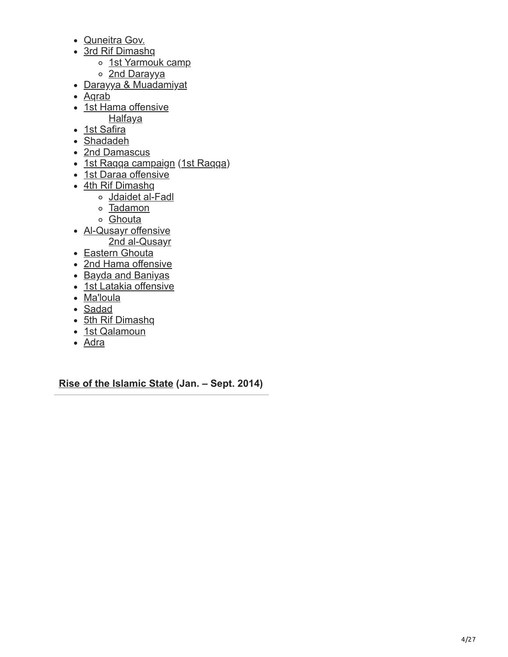- [Quneitra Gov.](https://en.wikipedia.org/wiki/Quneitra_Governorate_clashes_(2012%E2%80%932014))
- [3rd Rif Dimashq](https://en.wikipedia.org/wiki/Rif_Dimashq_offensive_(November_2012%E2%80%93February_2013))
	- o [1st Yarmouk camp](https://en.wikipedia.org/wiki/Battle_of_Yarmouk_Camp_(December_2012))
	- o [2nd Darayya](https://en.wikipedia.org/wiki/Battle_of_Darayya_(November_2012%E2%80%93February_2013))
- [Darayya & Muadamiyat](https://en.wikipedia.org/wiki/Siege_of_Darayya_and_Muadamiyat)
- Agrab
- [1st Hama offensive](https://en.wikipedia.org/wiki/2012_Hama_offensive)
- **[Halfaya](https://en.wikipedia.org/wiki/Halfaya_massacre_(2012))**
- [1st Safira](https://en.wikipedia.org/wiki/Battle_of_Safira)
- [Shadadeh](https://en.wikipedia.org/wiki/Battle_of_Shaddadi_(2013))
- [2nd Damascus](https://en.wikipedia.org/wiki/Damascus_offensive_(2013))
- [1st Raqqa campaign](https://en.wikipedia.org/wiki/Raqqa_campaign_(2012%E2%80%932013)) [\(1st Raqqa](https://en.wikipedia.org/wiki/Battle_of_Raqqa_(2013)))
- [1st Daraa offensive](https://en.wikipedia.org/wiki/2013_Daraa_offensive)
- [4th Rif Dimashq](https://en.wikipedia.org/wiki/Rif_Dimashq_offensive_(March%E2%80%93August_2013))
	- [Jdaidet al-Fadl](https://en.wikipedia.org/wiki/Battle_of_Jdaidet_al-Fadl)
	- o [Tadamon](https://en.wikipedia.org/wiki/Tadamon_massacre)
	- o [Ghouta](https://en.wikipedia.org/wiki/Ghouta_chemical_attack)
- [Al-Qusayr offensive](https://en.wikipedia.org/wiki/Al-Qusayr_offensive) [2nd al-Qusayr](https://en.wikipedia.org/wiki/Battle_of_al-Qusayr_(2013))
- [Eastern Ghouta](https://en.wikipedia.org/wiki/Siege_of_Eastern_Ghouta)
- [2nd Hama offensive](https://en.wikipedia.org/wiki/2013_Hama_offensive)
- [Bayda and Baniyas](https://en.wikipedia.org/wiki/Bayda_and_Baniyas_massacres)
- [1st Latakia offensive](https://en.wikipedia.org/wiki/2013_Latakia_offensive)
- [Ma'loula](https://en.wikipedia.org/wiki/Battle_of_Maaloula)
- [Sadad](https://en.wikipedia.org/wiki/Battle_of_Sadad)
- [5th Rif Dimashq](https://en.wikipedia.org/wiki/Rif_Dimashq_offensive_(September%E2%80%93November_2013))
- [1st Qalamoun](https://en.wikipedia.org/wiki/Battle_of_Qalamoun_(2013%E2%80%932014))
- [Adra](https://en.wikipedia.org/wiki/Adra_massacre)

**[Rise of the Islamic State](https://en.wikipedia.org/wiki/Inter-rebel_conflict_during_the_Syrian_civil_war) (Jan. – Sept. 2014)**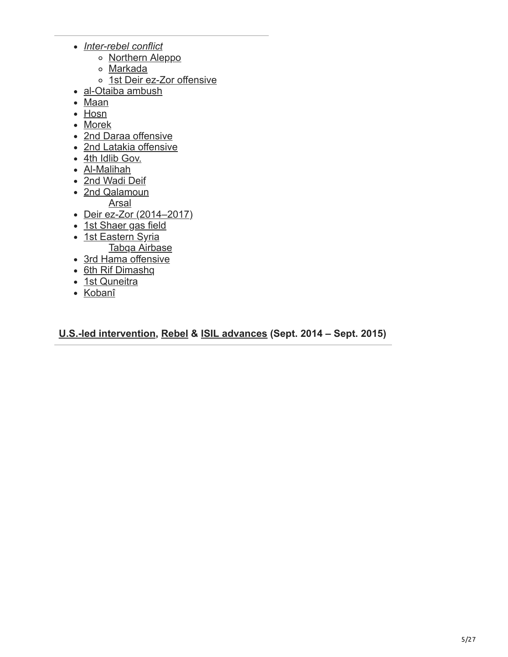- *[Inter-rebel conflict](https://en.wikipedia.org/wiki/Inter-rebel_conflict_during_the_Syrian_civil_war)*
	- o [Northern Aleppo](https://en.wikipedia.org/wiki/Northern_Aleppo_offensive_(February%E2%80%93July_2014))
	- [Markada](https://en.wikipedia.org/wiki/Battle_of_Markada)
	- o [1st Deir ez-Zor offensive](https://en.wikipedia.org/wiki/Deir_ez-Zor_offensive_(April%E2%80%93July_2014))
- [al-Otaiba ambush](https://en.wikipedia.org/wiki/Al-Otaiba_ambush)
- [Maan](https://en.wikipedia.org/wiki/Maan_massacre)
- [Hosn](https://en.wikipedia.org/wiki/Battle_of_Hosn)
- [Morek](https://en.wikipedia.org/wiki/Battle_of_Morek)
- [2nd Daraa offensive](https://en.wikipedia.org/wiki/Daraa_offensive_(February%E2%80%93May_2014))
- [2nd Latakia offensive](https://en.wikipedia.org/wiki/2014_Latakia_offensive)
- [4th Idlib Gov.](https://en.wikipedia.org/wiki/2014_Idlib_offensive)
- [Al-Malihah](https://en.wikipedia.org/wiki/Battle_of_Al-Malihah)
- [2nd Wadi Deif](https://en.wikipedia.org/wiki/Siege_of_Wadi_Deif_(2014))
- [2nd Qalamoun](https://en.wikipedia.org/wiki/Qalamoun_offensive_(2014))

[Arsal](https://en.wikipedia.org/wiki/Battle_of_Arsal_(2014))

- [Deir ez-Zor \(2014–2017\)](https://en.wikipedia.org/wiki/Siege_of_Deir_ez-Zor_(2014%E2%80%932017))
- [1st Shaer gas field](https://en.wikipedia.org/wiki/Battle_of_the_Shaer_gas_field_(July_2014))
- [1st Eastern Syria](https://en.wikipedia.org/wiki/2014_Eastern_Syria_offensive) [Tabqa Airbase](https://en.wikipedia.org/wiki/Battle_of_Tabqa_Airbase)
- [3rd Hama offensive](https://en.wikipedia.org/wiki/2014_Hama_offensive)
- [6th Rif Dimashq](https://en.wikipedia.org/wiki/Rif_Dimashq_offensive_(August%E2%80%93November_2014))
- [1st Quneitra](https://en.wikipedia.org/wiki/2014_Quneitra_offensive)
- [Kobanî](https://en.wikipedia.org/wiki/Siege_of_Koban%C3%AE)

**[U.S.-led intervention,](https://en.wikipedia.org/wiki/American-led_intervention_in_the_Syrian_civil_war) [Rebel](https://en.wikipedia.org/wiki/Northwestern_Syria_offensive_(April%E2%80%93June_2015)) & [ISIL advances](https://en.wikipedia.org/wiki/Palmyra_offensive_(May_2015)) (Sept. 2014 – Sept. 2015)**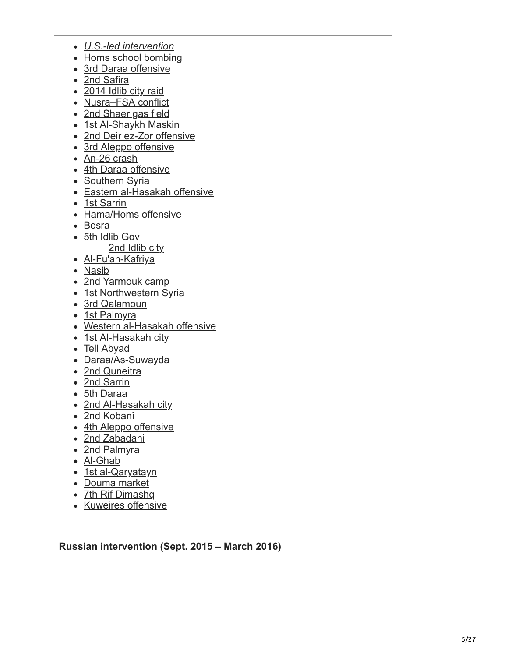- *[U.S.-led intervention](https://en.wikipedia.org/wiki/American-led_intervention_in_the_Syrian_civil_war)*
- [Homs school bombing](https://en.wikipedia.org/wiki/Homs_school_bombing)
- [3rd Daraa offensive](https://en.wikipedia.org/wiki/Daraa_offensive_(October_2014))
- [2nd Safira](https://en.wikipedia.org/wiki/2014_Al-Safira_offensive)
- [2014 Idlib city raid](https://en.wikipedia.org/wiki/2014_raid_on_Idlib_city)
- [Nusra–FSA conflict](https://en.wikipedia.org/wiki/Al-Nusra_Front%E2%80%93SRF/Hazzm_Movement_conflict)
- [2nd Shaer gas field](https://en.wikipedia.org/wiki/Battle_of_the_Shaer_gas_field_(October%E2%80%93November_2014))
- [1st Al-Shaykh Maskin](https://en.wikipedia.org/wiki/Battle_of_Al-Shaykh_Maskin_(2014))
- [2nd Deir ez-Zor offensive](https://en.wikipedia.org/wiki/Deir_ez-Zor_offensive_(December_2014))
- [3rd Aleppo offensive](https://en.wikipedia.org/wiki/Operation_Rainbow_(Syrian_civil_war))
- [An-26 crash](https://en.wikipedia.org/wiki/2015_Syrian_Air_Force_An-26_crash)
- [4th Daraa offensive](https://en.wikipedia.org/wiki/Daraa_offensive_(January_2015))
- [Southern Syria](https://en.wikipedia.org/wiki/2015_Southern_Syria_offensive)
- [Eastern al-Hasakah offensive](https://en.wikipedia.org/wiki/Eastern_al-Hasakah_offensive)
- [1st Sarrin](https://en.wikipedia.org/wiki/Battle_of_Sarrin_(March%E2%80%93April_2015))
- [Hama/Homs offensive](https://en.wikipedia.org/wiki/Hama_and_Homs_offensive_(March%E2%80%93April_2015))
- [Bosra](https://en.wikipedia.org/wiki/Battle_of_Bosra_(2015))
- [5th Idlib Gov](https://en.wikipedia.org/wiki/2015_Idlib_offensive)
	- [2nd Idlib city](https://en.wikipedia.org/wiki/Battle_of_Idlib_(2015))
- [Al-Fu'ah-Kafriya](https://en.wikipedia.org/wiki/Siege_of_al-Fu%27ah_and_Kafriya)
- [Nasib](https://en.wikipedia.org/wiki/Battle_of_Nasib_Border_Crossing)
- [2nd Yarmouk camp](https://en.wikipedia.org/wiki/Battle_of_Yarmouk_Camp_(2015))
- [1st Northwestern Syria](https://en.wikipedia.org/wiki/Northwestern_Syria_offensive_(April%E2%80%93June_2015))
- [3rd Qalamoun](https://en.wikipedia.org/wiki/Qalamoun_offensive_(May%E2%80%93June_2015))
- [1st Palmyra](https://en.wikipedia.org/wiki/Palmyra_offensive_(May_2015))
- [Western al-Hasakah offensive](https://en.wikipedia.org/wiki/Western_al-Hasakah_offensive)
- [1st Al-Hasakah city](https://en.wikipedia.org/wiki/Al-Hasakah_city_offensive)
- [Tell Abyad](https://en.wikipedia.org/wiki/Tell_Abyad_offensive)
- [Daraa/As-Suwayda](https://en.wikipedia.org/wiki/Daraa_and_As-Suwayda_offensive_(June_2015))
- [2nd Quneitra](https://en.wikipedia.org/wiki/Quneitra_offensive_(June_2015))
- [2nd Sarrin](https://en.wikipedia.org/wiki/Battle_of_Sarrin_(June%E2%80%93July_2015))
- [5th Daraa](https://en.wikipedia.org/wiki/Daraa_offensive_(June%E2%80%93July_2015))
- [2nd Al-Hasakah city](https://en.wikipedia.org/wiki/Battle_of_al-Hasakah_(2015))
- [2nd Kobanî](https://en.wikipedia.org/wiki/Koban%C3%AE_massacre)
- [4th Aleppo offensive](https://en.wikipedia.org/wiki/Aleppo_offensive_(July_2015))
- [2nd Zabadani](https://en.wikipedia.org/wiki/Battle_of_Zabadani_(2015))
- [2nd Palmyra](https://en.wikipedia.org/wiki/Palmyra_offensive_(July%E2%80%93August_2015))
- [Al-Ghab](https://en.wikipedia.org/wiki/Al-Ghab_offensive_(July%E2%80%93August_2015))
- [1st al-Qaryatayn](https://en.wikipedia.org/wiki/Battle_of_al-Qaryatayn_(2015))
- [Douma market](https://en.wikipedia.org/wiki/Douma_massacre_(2015))
- [7th Rif Dimashq](https://en.wikipedia.org/wiki/Rif_Dimashq_offensive_(September_2015))
- [Kuweires offensive](https://en.wikipedia.org/wiki/Kuweires_offensive)

**[Russian intervention](https://en.wikipedia.org/wiki/Russian_military_intervention_in_the_Syrian_civil_war) (Sept. 2015 – March 2016)**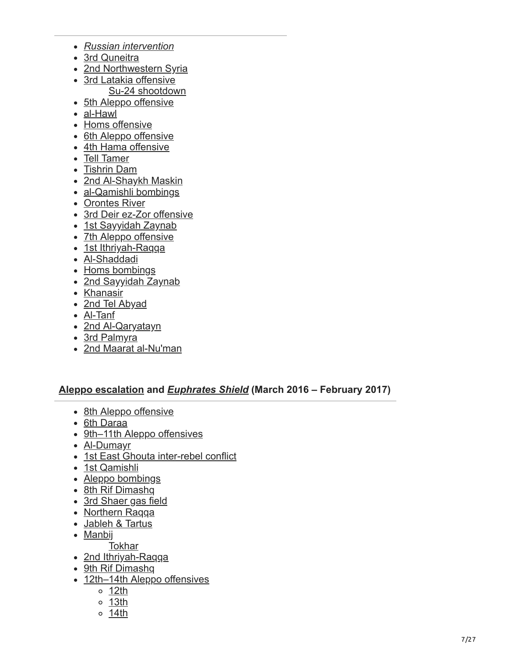- *[Russian intervention](https://en.wikipedia.org/wiki/Russian_military_intervention_in_the_Syrian_civil_war)*
- [3rd Quneitra](https://en.wikipedia.org/wiki/Quneitra_offensive_(October_2015))
- [2nd Northwestern Syria](https://en.wikipedia.org/wiki/Northwestern_Syria_offensive_(October%E2%80%93November_2015))
- [3rd Latakia offensive](https://en.wikipedia.org/wiki/2015%E2%80%932016_Latakia_offensive) [Su-24 shootdown](https://en.wikipedia.org/wiki/2015_Russian_Sukhoi_Su-24_shootdown)
- [5th Aleppo offensive](https://en.wikipedia.org/wiki/Aleppo_offensive_(October%E2%80%93December_2015))
- [al-Hawl](https://en.wikipedia.org/wiki/2015_al-Hawl_offensive)
- [Homs offensive](https://en.wikipedia.org/wiki/Homs_offensive_(November%E2%80%93December_2015))
- [6th Aleppo offensive](https://en.wikipedia.org/wiki/East_Aleppo_offensive_(2015%E2%80%932016))
- [4th Hama offensive](https://en.wikipedia.org/wiki/2015_Hama_offensive)
- [Tell Tamer](https://en.wikipedia.org/wiki/Tell_Tamer_bombings)
- [Tishrin Dam](https://en.wikipedia.org/wiki/Tishrin_Dam_offensive)
- [2nd Al-Shaykh Maskin](https://en.wikipedia.org/wiki/Battle_of_Al-Shaykh_Maskin_(2015%E2%80%932016))
- [al-Qamishli bombings](https://en.wikipedia.org/wiki/2015_Qamishli_bombings)
- [Orontes River](https://en.wikipedia.org/wiki/Orontes_River_offensive)
- [3rd Deir ez-Zor offensive](https://en.wikipedia.org/wiki/Deir_ez-Zor_offensive_(2016))
- [1st Sayyidah Zaynab](https://en.wikipedia.org/wiki/2016_Sayyidah_Zaynab_attacks)
- [7th Aleppo offensive](https://en.wikipedia.org/wiki/Northern_Aleppo_offensive_(February_2016))
- [1st Ithriyah-Raqqa](https://en.wikipedia.org/wiki/Ithriyah-Raqqa_offensive_(February%E2%80%93March_2016))
- [Al-Shaddadi](https://en.wikipedia.org/wiki/Al-Shaddadi_offensive_(2016))
- [Homs bombings](https://en.wikipedia.org/wiki/February_2016_Homs_bombings)
- [2nd Sayyidah Zaynab](https://en.wikipedia.org/wiki/2016_Sayyidah_Zaynab_attacks)
- [Khanasir](https://en.wikipedia.org/wiki/2016_Khanasir_offensive)
- [2nd Tel Abyad](https://en.wikipedia.org/wiki/Battle_of_Tell_Abyad_(2016))
- [Al-Tanf](https://en.wikipedia.org/wiki/Al-Tanf_offensive_(2016))
- [2nd Al-Qaryatayn](https://en.wikipedia.org/wiki/Battle_of_al-Qaryatayn_(2016))
- [3rd Palmyra](https://en.wikipedia.org/wiki/Palmyra_offensive_(March_2016))
- [2nd Maarat al-Nu'man](https://en.wikipedia.org/wiki/Battle_of_Maarat_al-Numan_(2016))

#### **[Aleppo escalation](https://en.wikipedia.org/wiki/Battle_of_Aleppo_(2012%E2%80%932016)) and** *[Euphrates Shield](https://en.wikipedia.org/wiki/Operation_Euphrates_Shield)* **(March 2016 – February 2017)**

- [8th Aleppo offensive](https://en.wikipedia.org/wiki/Northern_Aleppo_offensive_(March%E2%80%93June_2016))
- [6th Daraa](https://en.wikipedia.org/wiki/Daraa_offensive_(March%E2%80%93April_2016))
- [9th–11th Aleppo offensives](https://en.wikipedia.org/wiki/2016_Southern_Aleppo_campaign)
- [Al-Dumayr](https://en.wikipedia.org/wiki/Al-Dumayr_offensive_(April_2016))
- [1st East Ghouta inter-rebel conflict](https://en.wikipedia.org/wiki/East_Ghouta_inter-rebel_conflict_(April%E2%80%93May_2016))
- [1st Qamishli](https://en.wikipedia.org/wiki/Battle_of_Qamishli_(2016))
- [Aleppo bombings](https://en.wikipedia.org/wiki/Aleppo_bombings_(April%E2%80%93July_2016))
- [8th Rif Dimashq](https://en.wikipedia.org/wiki/Rif_Dimashq_offensive_(April%E2%80%93May_2016))
- [3rd Shaer gas field](https://en.wikipedia.org/wiki/Battle_of_the_Shaer_gas_field_(2016))
- [Northern Raqqa](https://en.wikipedia.org/wiki/Northern_Raqqa_offensive)
- [Jableh & Tartus](https://en.wikipedia.org/wiki/May_2016_Jableh_and_Tartous_bombings)
- [Manbij](https://en.wikipedia.org/wiki/Manbij_offensive)
- **[Tokhar](https://en.wikipedia.org/wiki/Tokhar_airstrike)**
- [2nd Ithriyah-Raqqa](https://en.wikipedia.org/wiki/Ithriyah-Raqqa_offensive_(June_2016))
- [9th Rif Dimashq](https://en.wikipedia.org/wiki/Rif_Dimashq_offensive_(June%E2%80%93October_2016))
- [12th–14th Aleppo offensives](https://en.wikipedia.org/wiki/2016_Aleppo_summer_campaign)
	- $0$  [12th](https://en.wikipedia.org/wiki/Aleppo_offensive_(June%E2%80%93July_2016))
	- [13th](https://en.wikipedia.org/wiki/Aleppo_offensive_(July%E2%80%93August_2016))
	- [14th](https://en.wikipedia.org/wiki/Aleppo_offensive_(August%E2%80%93September_2016))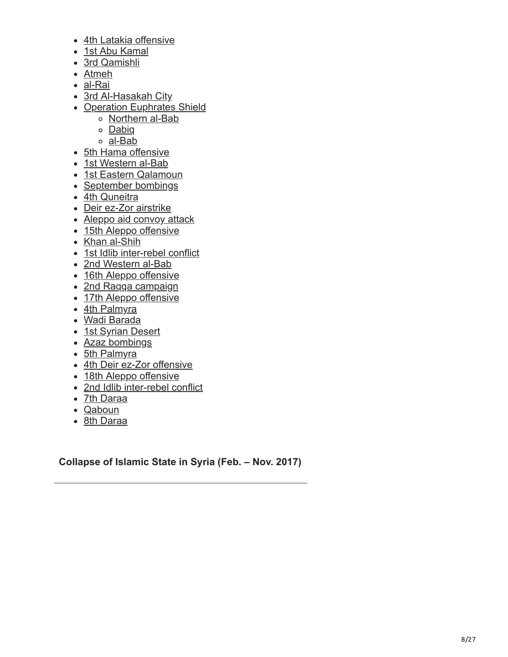- [4th Latakia offensive](https://en.wikipedia.org/wiki/2016_Latakia_offensive)
- [1st Abu Kamal](https://en.wikipedia.org/wiki/2016_Abu_Kamal_offensive)
- [3rd Qamishli](https://en.wikipedia.org/wiki/July_2016_Qamishli_bombings)
- [Atmeh](https://en.wikipedia.org/wiki/2016_Atmeh_attack)
- [al-Rai](https://en.wikipedia.org/wiki/Battle_of_al-Rai_(August_2016))
- [3rd Al-Hasakah City](https://en.wikipedia.org/wiki/Battle_of_al-Hasakah_(2016))
- [Operation Euphrates Shield](https://en.wikipedia.org/wiki/Operation_Euphrates_Shield)
	- o [Northern al-Bab](https://en.wikipedia.org/wiki/Northern_al-Bab_offensive_(September_2016))
	- [Dabiq](https://en.wikipedia.org/wiki/2016_Dabiq_offensive)
	- [al-Bab](https://en.wikipedia.org/wiki/Battle_of_al-Bab)
- [5th Hama offensive](https://en.wikipedia.org/wiki/2016_Hama_offensive)
- [1st Western al-Bab](https://en.wikipedia.org/wiki/Western_al-Bab_offensive_(September_2016))
- [1st Eastern Qalamoun](https://en.wikipedia.org/wiki/Eastern_Qalamoun_offensive_(September%E2%80%93October_2016))
- [September bombings](https://en.wikipedia.org/wiki/5_September_2016_Syria_bombings)
- [4th Quneitra](https://en.wikipedia.org/wiki/Quneitra_offensive_(September_2016))
- [Deir ez-Zor airstrike](https://en.wikipedia.org/wiki/September_2016_Deir_ez-Zor_air_raid)
- [Aleppo aid convoy attack](https://en.wikipedia.org/wiki/September_2016_Urum_al-Kubra_aid_convoy_attack)
- [15th Aleppo offensive](https://en.wikipedia.org/wiki/Aleppo_offensive_(September%E2%80%93October_2016))
- [Khan al-Shih](https://en.wikipedia.org/wiki/Khan_al-Shih_offensive_(October%E2%80%93November_2016))
- [1st Idlib inter-rebel conflict](https://en.wikipedia.org/wiki/October_2016_Idlib_Governorate_clashes)
- [2nd Western al-Bab](https://en.wikipedia.org/wiki/Western_al-Bab_offensive_(October%E2%80%93November_2016))
- [16th Aleppo offensive](https://en.wikipedia.org/wiki/Aleppo_offensive_(October%E2%80%93November_2016))
- [2nd Raqqa campaign](https://en.wikipedia.org/wiki/Raqqa_campaign_(2016%E2%80%932017))
- [17th Aleppo offensive](https://en.wikipedia.org/wiki/Aleppo_offensive_(November%E2%80%93December_2016))
- [4th Palmyra](https://en.wikipedia.org/wiki/Palmyra_offensive_(December_2016))
- [Wadi Barada](https://en.wikipedia.org/wiki/Wadi_Barada_offensive_(2016%E2%80%932017))
- [1st Syrian Desert](https://en.wikipedia.org/wiki/Syrian_Desert_campaign_(December_2016%E2%80%93April_2017))
- [Azaz bombings](https://en.wikipedia.org/wiki/January_2017_Azaz_bombing)
- [5th Palmyra](https://en.wikipedia.org/wiki/Palmyra_offensive_(2017))
- [4th Deir ez-Zor offensive](https://en.wikipedia.org/wiki/Deir_ez-Zor_offensive_(January%E2%80%93February_2017))
- [18th Aleppo offensive](https://en.wikipedia.org/wiki/East_Aleppo_offensive_(2017))
- [2nd Idlib inter-rebel conflict](https://en.wikipedia.org/wiki/Idlib_Governorate_clashes_(January%E2%80%93March_2017))
- [7th Daraa](https://en.wikipedia.org/wiki/Daraa_offensive_(February%E2%80%93June_2017))
- [Qaboun](https://en.wikipedia.org/wiki/Qaboun_offensive_(2017))
- [8th Daraa](https://en.wikipedia.org/wiki/Southwestern_Daraa_offensive_(February_2017))

**Collapse of Islamic State in Syria (Feb. – Nov. 2017)**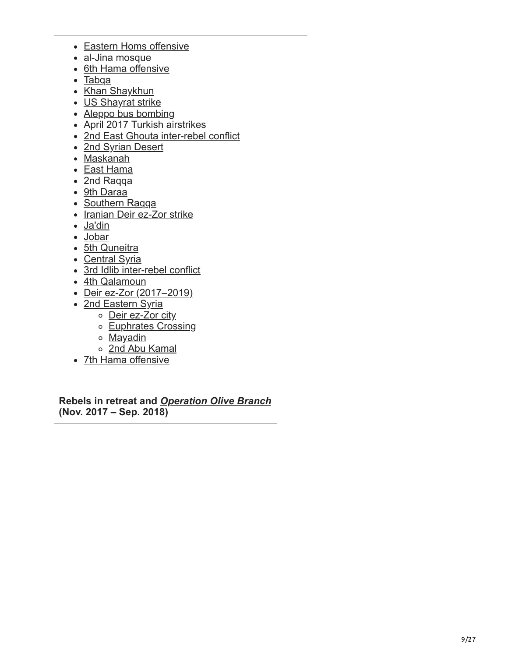- [Eastern Homs offensive](https://en.wikipedia.org/wiki/Eastern_Homs_offensive_(2017))
- [al-Jina mosque](https://en.wikipedia.org/wiki/2017_al-Jinah_airstrike)
- [6th Hama offensive](https://en.wikipedia.org/wiki/Hama_offensive_(March%E2%80%93April_2017))
- [Tabqa](https://en.wikipedia.org/wiki/Battle_of_Tabqa)
- [Khan Shaykhun](https://en.wikipedia.org/wiki/Khan_Shaykhun_chemical_attack)
- [US Shayrat strike](https://en.wikipedia.org/wiki/2017_Shayrat_missile_strike)
- [Aleppo bus bombing](https://en.wikipedia.org/wiki/2017_Aleppo_suicide_car_bombing)
- [April 2017 Turkish airstrikes](https://en.wikipedia.org/wiki/April_2017_Turkish_airstrikes_in_Syria_and_Iraq)
- [2nd East Ghouta inter-rebel conflict](https://en.wikipedia.org/wiki/East_Ghouta_inter-rebel_conflict_(April%E2%80%93May_2017))
- [2nd Syrian Desert](https://en.wikipedia.org/wiki/Syrian_Desert_campaign_(May%E2%80%93July_2017))
- [Maskanah](https://en.wikipedia.org/wiki/Maskanah_Plains_offensive)
- [East Hama](https://en.wikipedia.org/wiki/East_Hama_offensive_(2017))
- [2nd Raqqa](https://en.wikipedia.org/wiki/Battle_of_Raqqa_(2017))
- [9th Daraa](https://en.wikipedia.org/wiki/Daraa_offensive_(June_2017))
- [Southern Raqqa](https://en.wikipedia.org/wiki/2017_Southern_Raqqa_offensive)
- [Iranian Deir ez-Zor strike](https://en.wikipedia.org/wiki/Operation_Laylat_al-Qadr)
- [Ja'din](https://en.wikipedia.org/wiki/Ja%27Din_shootdown_incident)
- [Jobar](https://en.wikipedia.org/wiki/2017_Jobar_offensive)
- [5th Quneitra](https://en.wikipedia.org/wiki/Quneitra_offensive_(June_2017))
- [Central Syria](https://en.wikipedia.org/wiki/Central_Syria_campaign)
- [3rd Idlib inter-rebel conflict](https://en.wikipedia.org/wiki/Idlib_Governorate_clashes_(July_2017))
- [4th Qalamoun](https://en.wikipedia.org/wiki/Qalamoun_offensive_(2017))
- [Deir ez-Zor \(2017–2019\)](https://en.wikipedia.org/wiki/Deir_ez-Zor_campaign_(2017%E2%80%932019))
- [2nd Eastern Syria](https://en.wikipedia.org/wiki/Eastern_Syria_campaign_(September%E2%80%93December_2017))
	- o [Deir ez-Zor city](https://en.wikipedia.org/wiki/Deir_ez-Zor_offensive_(September%E2%80%93November_2017))
	- o [Euphrates Crossing](https://en.wikipedia.org/wiki/Euphrates_Crossing_offensive_(2017))
	- o [Mayadin](https://en.wikipedia.org/wiki/2017_Mayadin_offensive)
	- [2nd Abu Kamal](https://en.wikipedia.org/wiki/2017_Abu_Kamal_offensive)
- [7th Hama offensive](https://en.wikipedia.org/wiki/Hama_offensive_(September_2017))

**Rebels in retreat and** *[Operation Olive Branch](https://en.wikipedia.org/wiki/Operation_Olive_Branch)* **(Nov. 2017 – Sep. 2018)**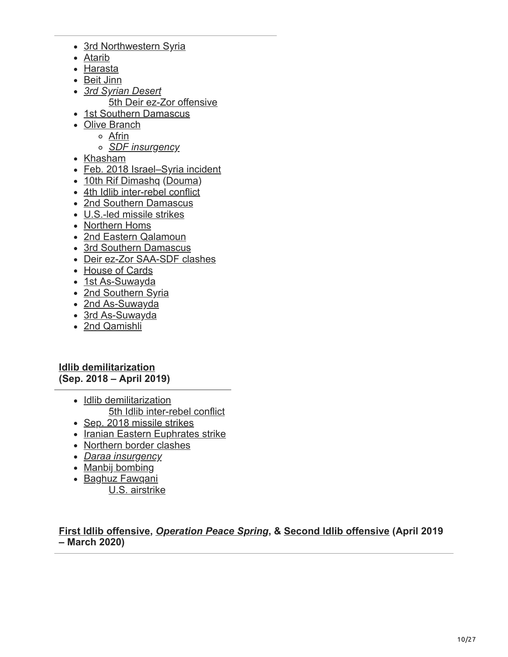- [3rd Northwestern Syria](https://en.wikipedia.org/wiki/Northwestern_Syria_campaign_(October_2017%E2%80%93February_2018))
- [Atarib](https://en.wikipedia.org/wiki/Atarib_market_massacre)
- [Harasta](https://en.wikipedia.org/wiki/Battle_of_Harasta_(2017%E2%80%932018))
- [Beit Jinn](https://en.wikipedia.org/wiki/Beit_Jinn_offensive)
- *[3rd Syrian Desert](https://en.wikipedia.org/wiki/Syrian_Desert_campaign_(December_2017%E2%80%93present))* [5th Deir ez-Zor offensive](https://en.wikipedia.org/wiki/Deir_ez-Zor_offensive_(2018))
- [1st Southern Damascus](https://en.wikipedia.org/wiki/Southern_Damascus_offensive_(January%E2%80%93February_2018))
- [Olive Branch](https://en.wikipedia.org/wiki/Operation_Olive_Branch)
	- [Afrin](https://en.wikipedia.org/wiki/Afrin_offensive_(January%E2%80%93March_2018))
	- *[SDF insurgency](https://en.wikipedia.org/wiki/SDF_insurgency_in_Northern_Aleppo)*
- [Khasham](https://en.wikipedia.org/wiki/Battle_of_Khasham)
- [Feb. 2018 Israel–Syria incident](https://en.wikipedia.org/wiki/February_2018_Israel%E2%80%93Syria_incident)
- [10th Rif Dimashq](https://en.wikipedia.org/wiki/Rif_Dimashq_offensive_(February%E2%80%93April_2018)) [\(Douma](https://en.wikipedia.org/wiki/Douma_chemical_attack))
- [4th Idlib inter-rebel conflict](https://en.wikipedia.org/wiki/Syrian_Liberation_Front%E2%80%93Tahrir_al-Sham_conflict)
- [2nd Southern Damascus](https://en.wikipedia.org/wiki/Southern_Damascus_offensive_(March_2018))
- [U.S.-led missile strikes](https://en.wikipedia.org/wiki/2018_missile_strikes_against_Syria)
- [Northern Homs](https://en.wikipedia.org/wiki/Northern_Homs_offensive_(April%E2%80%93May_2018))
- [2nd Eastern Qalamoun](https://en.wikipedia.org/wiki/Eastern_Qalamoun_offensive_(April_2018))
- [3rd Southern Damascus](https://en.wikipedia.org/wiki/Southern_Damascus_offensive_(April%E2%80%93May_2018))
- [Deir ez-Zor SAA-SDF clashes](https://en.wikipedia.org/wiki/Deir_ez-Zor_Governorate_clashes)
- [House of Cards](https://en.wikipedia.org/wiki/Operation_House_of_Cards)
- [1st As-Suwayda](https://en.wikipedia.org/wiki/As-Suwayda_offensive_(June_2018))
- [2nd Southern Syria](https://en.wikipedia.org/wiki/2018_Southern_Syria_offensive)
- [2nd As-Suwayda](https://en.wikipedia.org/wiki/2018_As-Suwayda_attacks)
- [3rd As-Suwayda](https://en.wikipedia.org/wiki/As-Suwayda_offensive_(August%E2%80%93November_2018))
- [2nd Qamishli](https://en.wikipedia.org/wiki/Qamishli_clashes_(2018))

**[Idlib demilitarization](https://en.wikipedia.org/wiki/Idlib_demilitarization_(2018%E2%80%932019)) (Sep. 2018 – April 2019)**

- [Idlib demilitarization](https://en.wikipedia.org/wiki/Idlib_demilitarization_(2018%E2%80%932019)) [5th Idlib inter-rebel conflict](https://en.wikipedia.org/wiki/National_Front_for_Liberation%E2%80%93Tahrir_al-Sham_conflict)
- [Sep. 2018 missile strikes](https://en.wikipedia.org/wiki/Syria_missile_strikes_(September_2018))
- [Iranian Eastern Euphrates strike](https://en.wikipedia.org/wiki/Ahvaz_military_parade_attack#Retaliatory_missile_and_drone_strikes)
- [Northern border clashes](https://en.wikipedia.org/wiki/2018_Syrian-Turkish_border_clashes)
- *[Daraa insurgency](https://en.wikipedia.org/wiki/Daraa_insurgency)*
- [Manbij bombing](https://en.wikipedia.org/wiki/2019_Manbij_bombing)
- [Baghuz Fawqani](https://en.wikipedia.org/wiki/Battle_of_Baghuz_Fawqani) [U.S. airstrike](https://en.wikipedia.org/wiki/2019_U.S._airstrike_in_Baghuz)

**[First Idlib offensive](https://en.wikipedia.org/wiki/Northwestern_Syria_offensive_(April%E2%80%93August_2019)),** *[Operation Peace Spring](https://en.wikipedia.org/wiki/2019_Turkish_offensive_into_north-eastern_Syria)***, & [Second Idlib offensive](https://en.wikipedia.org/wiki/Northwestern_Syria_offensive_(December_2019%E2%80%93March_2020)) (April 2019 – March 2020)**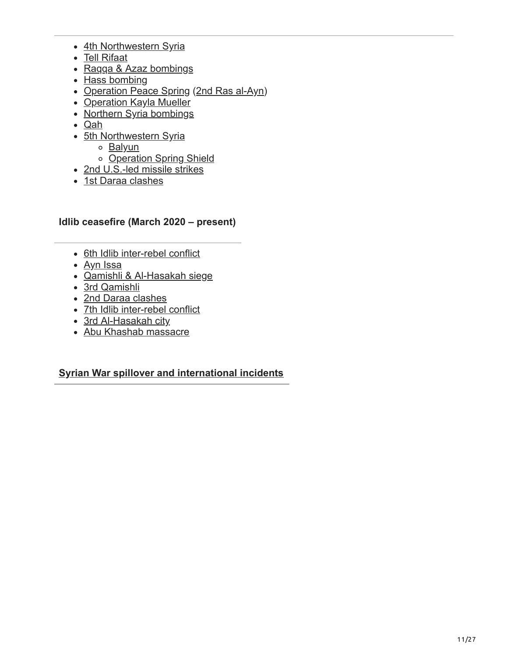- [4th Northwestern Syria](https://en.wikipedia.org/wiki/Northwestern_Syria_offensive_(April%E2%80%93August_2019))
- [Tell Rifaat](https://en.wikipedia.org/wiki/2019_Tell_Rifaat_clashes)
- [Raqqa & Azaz bombings](https://en.wikipedia.org/wiki/June_2019_Syria_bombings)
- [Hass bombing](https://en.wikipedia.org/wiki/Hass_refugee_camp_bombing)
- [Operation Peace Spring](https://en.wikipedia.org/wiki/2019_Turkish_offensive_into_north-eastern_Syria) [\(2nd Ras al-Ayn](https://en.wikipedia.org/wiki/Second_Battle_of_Ras_al-Ayn))
- [Operation Kayla Mueller](https://en.wikipedia.org/wiki/Death_of_Abu_Bakr_al-Baghdadi)
- [Northern Syria bombings](https://en.wikipedia.org/wiki/November_2019_Syria_bombings)
- [Qah](https://en.wikipedia.org/wiki/Qah_missile_strike)
- [5th Northwestern Syria](https://en.wikipedia.org/wiki/Northwestern_Syria_offensive_(December_2019%E2%80%93March_2020))
	- o [Balyun](https://en.wikipedia.org/wiki/2020_Balyun_airstrikes)
	- o [Operation Spring Shield](https://en.wikipedia.org/wiki/Operation_Spring_Shield)
- [2nd U.S.-led missile strikes](https://en.wikipedia.org/wiki/December_2019_United_States_airstrikes_in_Iraq_and_Syria)
- [1st Daraa clashes](https://en.wikipedia.org/wiki/March_2020_Daraa_clashes)

### **Idlib ceasefire (March 2020 – present)**

- [6th Idlib inter-rebel conflict](https://en.wikipedia.org/wiki/Idlib_Governorate_clashes_(June_2020))
- [Ayn Issa](https://en.wikipedia.org/wiki/2020%E2%80%932021_Ayn_Issa_clashes)
- [Qamishli & Al-Hasakah siege](https://en.wikipedia.org/wiki/Siege_of_Qamishli_and_Al-Hasakah)
- [3rd Qamishli](https://en.wikipedia.org/wiki/Battle_of_Qamishli_(2021))
- [2nd Daraa clashes](https://en.wikipedia.org/wiki/2021_Daraa_offensive)
- [7th Idlib inter-rebel conflict](https://en.wikipedia.org/wiki/Tahrir_al-Sham%E2%80%93Junud_al-Sham_conflict)
- [3rd Al-Hasakah city](https://en.wikipedia.org/wiki/Battle_of_al-Hasakah_(2022))
- [Abu Khashab massacre](https://en.wikipedia.org/wiki/Abu_Khashab_shooting)

### **[Syrian War spillover and international incidents](https://en.wikipedia.org/wiki/Spillover_of_the_Syrian_civil_war)**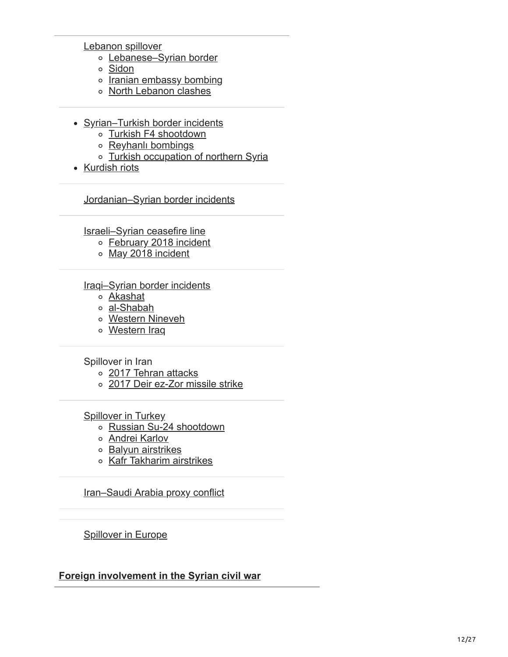[Lebanon spillover](https://en.wikipedia.org/wiki/Syrian_civil_war_spillover_in_Lebanon)

- [Lebanese–Syrian border](https://en.wikipedia.org/wiki/Lebanon%E2%80%93Syria_border_clashes)
- [Sidon](https://en.wikipedia.org/wiki/2013_Sidon_clash)
- o [Iranian embassy bombing](https://en.wikipedia.org/wiki/Iranian_embassy_bombing_in_Beirut)
- o [North Lebanon clashes](https://en.wikipedia.org/wiki/North_Lebanon_clashes_(2014))
- [Syrian–Turkish border incidents](https://en.wikipedia.org/wiki/Syrian%E2%80%93Turkish_border_clashes_during_the_Syrian_civil_war)
	- o [Turkish F4 shootdown](https://en.wikipedia.org/wiki/2012_Turkish_F-4_Phantom_shootdown)
	- o [Reyhanlı bombings](https://en.wikipedia.org/wiki/2013_Reyhanl%C4%B1_car_bombings)
	- o [Turkish occupation of northern Syria](https://en.wikipedia.org/wiki/Turkish_occupation_of_northern_Syria)
- [Kurdish riots](https://en.wikipedia.org/wiki/2014_Koban%C3%AE_protests)

[Jordanian–Syrian border incidents](https://en.wikipedia.org/wiki/Jordanian%E2%80%93Syrian_border_incidents_during_the_Syrian_civil_war)

[Israeli–Syrian ceasefire line](https://en.wikipedia.org/wiki/Israeli%E2%80%93Syrian_ceasefire_line_incidents_during_the_Syrian_civil_war)

- [February 2018 incident](https://en.wikipedia.org/wiki/February_2018_Israel%E2%80%93Syria_incident)
- [May 2018 incident](https://en.wikipedia.org/wiki/Operation_House_of_Cards)

#### [Iraqi–Syrian border incidents](https://en.wikipedia.org/wiki/War_in_Iraq_(2013%E2%80%932017))

- [Akashat](https://en.wikipedia.org/wiki/Akashat_ambush)
- [al-Shabah](https://en.wikipedia.org/wiki/Operation_al-Shabah)
- [Western Nineveh](https://en.wikipedia.org/wiki/Western_Nineveh_offensive_(2017))
- [Western Iraq](https://en.wikipedia.org/wiki/2017_Western_Iraq_campaign)

Spillover in Iran

- o [2017 Tehran attacks](https://en.wikipedia.org/wiki/2017_Tehran_attacks)
- [2017 Deir ez-Zor missile strike](https://en.wikipedia.org/wiki/Operation_Laylat_al-Qadr)

[Spillover in Turkey](https://en.wikipedia.org/wiki/Islamic_State-related_terrorist_attacks_in_Turkey)

- [Russian Su-24 shootdown](https://en.wikipedia.org/wiki/2015_Russian_Sukhoi_Su-24_shootdown)
- o **[Andrei Karlov](https://en.wikipedia.org/wiki/Assassination_of_Andrei_Karlov)**
- o [Balyun airstrikes](https://en.wikipedia.org/wiki/2020_Balyun_airstrikes)
- [Kafr Takharim airstrikes](https://en.wikipedia.org/wiki/2020_Kafr_Takharim_airstrike)

[Iran–Saudi Arabia proxy conflict](https://en.wikipedia.org/wiki/Iran%E2%80%93Saudi_Arabia_proxy_conflict)

**[Spillover in Europe](https://en.wikipedia.org/wiki/Islamic_terrorism_in_Europe)** 

#### **[Foreign involvement in the Syrian civil war](https://en.wikipedia.org/wiki/Foreign_involvement_in_the_Syrian_civil_war)**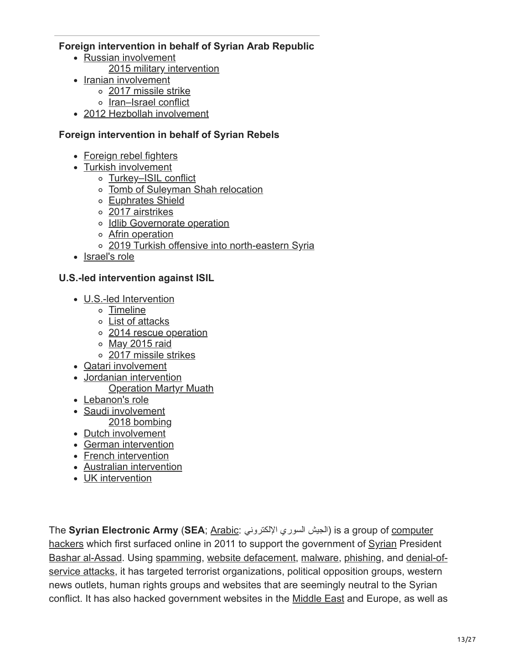### **Foreign intervention in behalf of Syrian Arab Republic**

- [Russian involvement](https://en.wikipedia.org/wiki/Russian_involvement_in_the_Syrian_civil_war)
	- [2015 military intervention](https://en.wikipedia.org/wiki/Russian_military_intervention_in_the_Syrian_civil_war)
- [Iranian involvement](https://en.wikipedia.org/wiki/Iranian_involvement_in_the_Syrian_civil_war)
	- [2017 missile strike](https://en.wikipedia.org/wiki/Operation_Laylat_al-Qadr)
	- [Iran–Israel conflict](https://en.wikipedia.org/wiki/Iran%E2%80%93Israel_conflict_during_the_Syrian_civil_war)
- [2012 Hezbollah involvement](https://en.wikipedia.org/wiki/Hezbollah_involvement_in_the_Syrian_civil_war)

### **Foreign intervention in behalf of Syrian Rebels**

- [Foreign rebel fighters](https://en.wikipedia.org/wiki/Foreign_fighters_in_the_Syrian_civil_war)
- [Turkish involvement](https://en.wikipedia.org/wiki/Turkish_involvement_in_the_Syrian_civil_war)
	- [Turkey–ISIL conflict](https://en.wikipedia.org/wiki/Islamic_State-related_terrorist_attacks_in_Turkey)
	- [Tomb of Suleyman Shah relocation](https://en.wikipedia.org/wiki/Tomb_of_Suleyman_Shah#Events_during_the_Syrian_Civil_War)
	- [Euphrates Shield](https://en.wikipedia.org/wiki/Operation_Euphrates_Shield)
	- [2017 airstrikes](https://en.wikipedia.org/wiki/April_2017_Turkish_airstrikes_in_Syria_and_Iraq)
	- o [Idlib Governorate operation](https://en.wikipedia.org/wiki/Turkish_military_operation_in_Idlib_Governorate)
	- [Afrin operation](https://en.wikipedia.org/wiki/Operation_Olive_Branch)
	- [2019 Turkish offensive into north-eastern Syria](https://en.wikipedia.org/wiki/2019_Turkish_offensive_into_north-eastern_Syria)
- [Israel's role](https://en.wikipedia.org/wiki/Israel%27s_role_in_the_Syrian_civil_war)

### **U.S.-led intervention against ISIL**

- [U.S.-led Intervention](https://en.wikipedia.org/wiki/American-led_intervention_in_the_Syrian_civil_war)
	- [Timeline](https://en.wikipedia.org/wiki/Timeline_of_the_American-led_intervention_in_the_Syrian_civil_war)
	- [List of attacks](https://en.wikipedia.org/wiki/List_of_United_States_attacks_on_Syria_during_the_Syrian_civil_war)
	- o [2014 rescue operation](https://en.wikipedia.org/wiki/2014_American_rescue_mission_in_Syria)
	- o [May 2015 raid](https://en.wikipedia.org/wiki/May_2015_U.S._special_forces_raid_in_Syria)
	- [2017 missile strikes](https://en.wikipedia.org/wiki/2017_Shayrat_missile_strike)
- [Qatari involvement](https://en.wikipedia.org/wiki/Qatari_involvement_in_the_Syrian_civil_war)
- [Jordanian intervention](https://en.wikipedia.org/wiki/Jordanian_intervention_in_the_Syrian_civil_war)
	- [Operation Martyr Muath](https://en.wikipedia.org/wiki/Operation_Martyr_Muath)
- [Lebanon's role](https://en.wikipedia.org/wiki/Lebanon%27s_role_in_the_Syrian_civil_war)
- [Saudi involvement](https://en.wikipedia.org/wiki/Saudi_Arabian_involvement_in_the_Syrian_civil_war)
- [2018 bombing](https://en.wikipedia.org/wiki/2018_missile_strikes_against_Syria)
- [Dutch involvement](https://en.wikipedia.org/wiki/Dutch_involvement_in_the_Syrian_civil_war)
- [German intervention](https://en.wikipedia.org/wiki/German_intervention_against_the_Islamic_State)
- [French intervention](https://en.wikipedia.org/wiki/Op%C3%A9ration_Chammal)
- [Australian intervention](https://en.wikipedia.org/wiki/Operation_Okra)
- [UK intervention](https://en.wikipedia.org/wiki/Operation_Shader)

The **Syrian Electronic Army** (**SEA**; [Arabic:](https://en.wikipedia.org/wiki/Arabic_language) الإلكتروني السوري الجیش (is a group of computer [hackers which first surfaced online in 2011 to support the government of Syrian Preside](https://en.wikipedia.org/wiki/Hacker_(computer_security))nt [Bashar al-Assad](https://en.wikipedia.org/wiki/Bashar_al-Assad)[. Using s](https://en.wikipedia.org/wiki/Denial-of-service_attack)[pammin](https://en.wikipedia.org/wiki/Spamming)[g, w](https://en.wikipedia.org/wiki/Denial-of-service_attack)[ebsite defacemen](https://en.wikipedia.org/wiki/Website_defacement)[t,](https://en.wikipedia.org/wiki/Denial-of-service_attack) [malware](https://en.wikipedia.org/wiki/Malware)[, p](https://en.wikipedia.org/wiki/Denial-of-service_attack)[hishing](https://en.wikipedia.org/wiki/Phishing)[, and denial-of](https://en.wikipedia.org/wiki/Denial-of-service_attack)service attacks, it has targeted terrorist organizations, political opposition groups, western news outlets, human rights groups and websites that are seemingly neutral to the Syrian conflict. It has also hacked government websites in the [Middle East](https://en.wikipedia.org/wiki/Middle_East) and Europe, as well as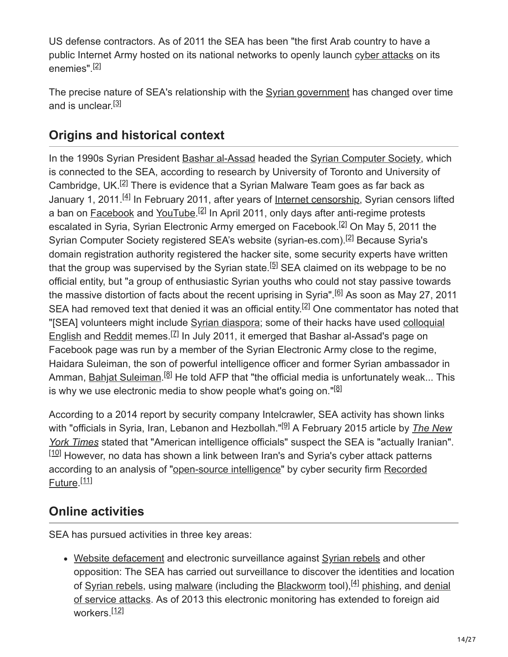US defense contractors. As of 2011 the SEA has been "the first Arab country to have a public Internet Army hosted on its national networks to openly launch [cyber attacks](https://en.wikipedia.org/wiki/Cyberwarfare) on its enemies". [2]

The precise nature of SEA's relationship with the [Syrian government](https://en.wikipedia.org/wiki/Syrian_government) has changed over time and is unclear.<sup>[3]</sup>

# **Origins and historical context**

In the 1990s Syrian President [Bashar al-Assad](https://en.wikipedia.org/wiki/Bashar_al-Assad) headed the [Syrian Computer Society](https://en.wikipedia.org/wiki/Syrian_Computer_Society), which is connected to the SEA, according to research by University of Toronto and University of Cambridge, UK.<sup>[2]</sup> There is evidence that a Syrian Malware Team goes as far back as January 1, 2011.<sup>[4]</sup> In February 2011, after years of <u>Internet censorship</u>, Syrian censors lifted a ban on [Facebook](https://en.wikipedia.org/wiki/Facebook) and [YouTube.](https://en.wikipedia.org/wiki/YouTube)<sup>[2]</sup> In April 2011, only days after anti-regime protests escalated in Syria, Syrian Electronic Army emerged on Facebook.<sup>[2]</sup> On May 5, 2011 the Syrian Computer Society registered SEA's website (syrian-es.com).<sup>[2]</sup> Because Syria's domain registration authority registered the hacker site, some security experts have written that the group was supervised by the Syrian state.<sup>[5]</sup> SEA claimed on its webpage to be no official entity, but "a group of enthusiastic Syrian youths who could not stay passive towards the massive distortion of facts about the recent uprising in Syria".<sup>[6]</sup> As soon as May 27, 2011 SEA had removed text that denied it was an official entity.<sup>[2]</sup> One commentator has noted that ["\[SEA\] volunteers might include Syrian diaspora; some of their hacks have used colloquial](https://en.wikipedia.org/wiki/Colloquial_English) English and [Reddit](https://en.wikipedia.org/wiki/Reddit) memes.<sup>[Z]</sup> In July 2011, it emerged that Bashar al-Assad's page on Facebook page was run by a member of the Syrian Electronic Army close to the regime, Haidara Suleiman, the son of powerful intelligence officer and former Syrian ambassador in Amman, <u>[Bahjat Suleiman](https://en.wikipedia.org/wiki/Bahjat_Suleiman).<sup>[8]</sup> He told AFP that "the official media is unfortunately weak... This</u> is why we use electronic media to show people what's going on."<sup>[8]</sup>

According to a 2014 report by security company Intelcrawler, SEA activity has shown links with "officials in Syria, Iran, Lebanon and Hezbollah."<sup>[9]</sup> A February 2015 article by *The New York Times* stated that "American intelligence officials" suspect the SEA is "actually Iranian".  $[10]$  However, no data has shown a link between Iran's and Syria's cyber attack patterns [according to an analysis of "open-source intelligence" by cyber security firm Recorded](https://en.wikipedia.org/wiki/Recorded_Future) Future. [11]

# **Online activities**

SEA has pursued activities in three key areas:

[Website defacement](https://en.wikipedia.org/wiki/Website_defacement) and electronic surveillance against [Syrian rebels](https://en.wikipedia.org/wiki/Syrian_rebels) and other opposition: The SEA has carried out surveillance to discover the identities and location of <u>Syrian rebels</u>, using [malware](https://en.wikipedia.org/wiki/Malware) (including the [Blackworm](https://en.wikipedia.org/wiki/Blackworm) tool),<sup>[4]</sup> [phishing,](https://en.wikipedia.org/wiki/Phishing) and denial [of service attacks. As of 2013 this electronic monitoring has extended to foreign aid](https://en.wikipedia.org/wiki/Denial_of_service_attacks) workers.<sup>[12]</sup>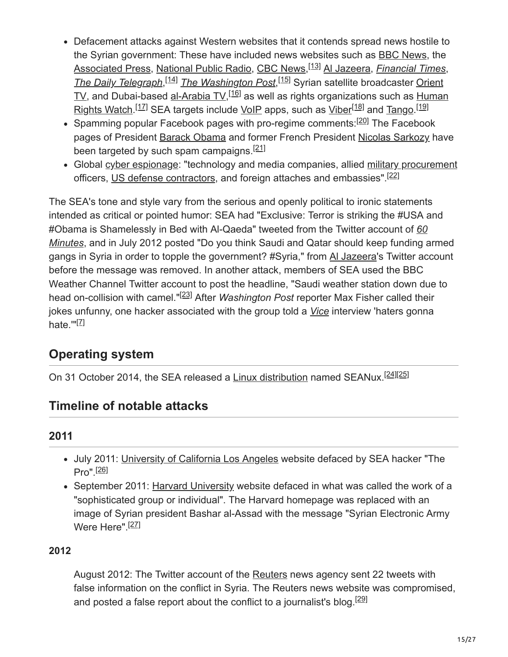- Defacement attacks against Western websites that it contends spread news hostile to the Syrian government: These have included news websites such as [BBC News](https://en.wikipedia.org/wiki/BBC_News), the [Associated Press,](https://en.wikipedia.org/wiki/Associated_Press) [National Public Radio](https://en.wikipedia.org/wiki/National_Public_Radio), [CBC News](https://en.wikipedia.org/wiki/CBC_News),<sup>[13]</sup> [Al Jazeera,](https://en.wikipedia.org/wiki/Al_Jazeera) *[Financial Times](https://en.wikipedia.org/wiki/Financial_Times)*, [The Daily Telegraph](https://en.wikipedia.org/wiki/The_Daily_Telegraph),<sup>[14]</sup> [The Washington Post](https://en.wikipedia.org/wiki/The_Washington_Post),<sup>[15]</sup> Syrian satellite broadcaster Orient TV, and Dubai-based <u>al-Arabia TV,  $^{[16]}$ </u> as well as rights organizations such as Human <u>Rights Watch.<sup>[17]</sup> SEA targets include VoIP</u> apps, such as <u>Viber<sup>[18]</sup> and Tango</u>.<sup>[19]</sup>
- Spamming popular Facebook pages with pro-regime comments:<sup>[20]</sup> The Facebook pages of President **[Barack Obama](https://en.wikipedia.org/wiki/Barack_Obama)** and former French President [Nicolas Sarkozy](https://en.wikipedia.org/wiki/Nicolas_Sarkozy) have been targeted by such spam campaigns.<sup>[21]</sup>
- Global [cyber espionage](https://en.wikipedia.org/wiki/Cyber_espionage): "technology and media companies, allied [military procurement](https://en.wikipedia.org/wiki/Military_procurement) officers, [US defense contractors,](https://en.wikipedia.org/wiki/List_of_US_defense_contractors) and foreign attaches and embassies".<sup>[22]</sup>

The SEA's tone and style vary from the serious and openly political to ironic statements intended as critical or pointed humor: SEA had "Exclusive: Terror is striking the #USA and [#Obama is Shamelessly in Bed with Al-Qaeda" tweeted from the Twitter account of](https://en.wikipedia.org/wiki/60_Minutes) *60 Minutes*, and in July 2012 posted "Do you think Saudi and Qatar should keep funding armed gangs in Syria in order to topple the government? #Syria," from [Al Jazeera](https://en.wikipedia.org/wiki/Al_Jazeera)'s Twitter account before the message was removed. In another attack, members of SEA used the BBC Weather Channel Twitter account to post the headline, "Saudi weather station down due to head on-collision with camel."<sup>[23]</sup> After *Washington Post* reporter Max Fisher called their jokes unfunny, one hacker associated with the group told a *[Vice](https://en.wikipedia.org/wiki/Vice_(magazine))* interview 'haters gonna hate.'"<sup>[<u>7]</u></sup>

# **Operating system**

On 31 October 2014, the SEA released a [Linux distribution](https://en.wikipedia.org/wiki/Linux_distribution) named SEANux.<sup>[24][25]</sup>

# **Timeline of notable attacks**

# **2011**

- July 2011: [University of California Los Angeles](https://en.wikipedia.org/wiki/University_of_California_Los_Angeles) website defaced by SEA hacker "The Pro". [26]
- September 2011: [Harvard University](https://en.wikipedia.org/wiki/Harvard_University) website defaced in what was called the work of a "sophisticated group or individual". The Harvard homepage was replaced with an image of Syrian president Bashar al-Assad with the message "Syrian Electronic Army Were Here".<sup>[27]</sup>

## **2012**

August 2012: The Twitter account of the [Reuters](https://en.wikipedia.org/wiki/Reuters) news agency sent 22 tweets with false information on the conflict in Syria. The Reuters news website was compromised, and posted a false report about the conflict to a journalist's blog.<sup>[29]</sup>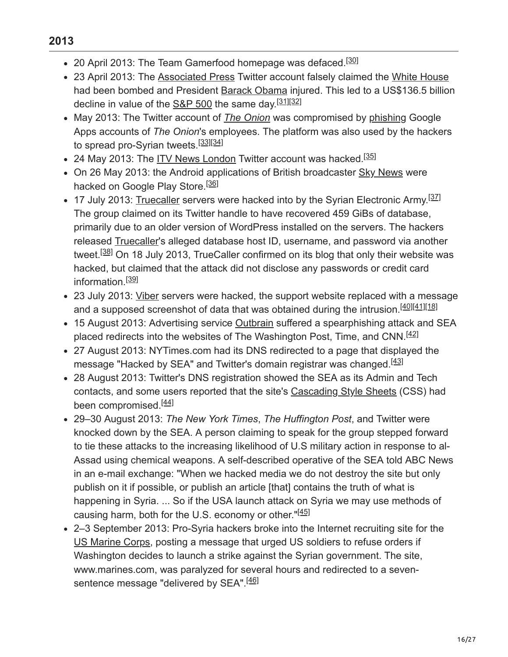- 20 April 2013: The Team Gamerfood homepage was defaced.<sup>[30]</sup>
- 23 April 2013: The [Associated Press](https://en.wikipedia.org/wiki/Associated_Press) Twitter account falsely claimed the [White House](https://en.wikipedia.org/wiki/White_House) had been bombed and President [Barack Obama](https://en.wikipedia.org/wiki/Barack_Obama) injured. This led to a US\$136.5 billion decline in value of the [S&P 500](https://en.wikipedia.org/wiki/S%26P_500) the same day.<sup>[31][32]</sup>
- May 2013: The Twitter account of *[The Onion](https://en.wikipedia.org/wiki/The_Onion)* was compromised by [phishing](https://en.wikipedia.org/wiki/Phishing) Google Apps accounts of *The Onion*'s employees. The platform was also used by the hackers to spread pro-Syrian tweets.<sup>[33][34]</sup>
- 24 May 2013: The <u>[ITV News London](https://en.wikipedia.org/wiki/ITV_News_London)</u> Twitter account was hacked.<sup>[35]</sup>
- On 26 May 2013: the Android applications of British broadcaster [Sky News](https://en.wikipedia.org/wiki/Sky_News) were hacked on Google Play Store.<sup>[36]</sup>
- 17 July 2013: [Truecaller](https://en.wikipedia.org/wiki/Truecaller) servers were hacked into by the Syrian Electronic Army.<sup>[37]</sup> The group claimed on its Twitter handle to have recovered 459 GiBs of database, primarily due to an older version of WordPress installed on the servers. The hackers released [Truecaller](https://en.wikipedia.org/wiki/Truecaller)'s alleged database host ID, username, and password via another tweet.<sup>[38]</sup> On 18 July 2013, TrueCaller confirmed on its blog that only their website was hacked, but claimed that the attack did not disclose any passwords or credit card information.<sup>[39]</sup>
- 23 July 2013: [Viber](https://en.wikipedia.org/wiki/Viber) servers were hacked, the support website replaced with a message and a supposed screenshot of data that was obtained during the intrusion.<sup>[40][41][18]</sup>
- 15 August 2013: Advertising service [Outbrain](https://en.wikipedia.org/wiki/Outbrain) suffered a spearphishing attack and SEA placed redirects into the websites of The Washington Post, Time, and CNN.<sup>[42]</sup>
- 27 August 2013: NYTimes.com had its DNS redirected to a page that displayed the message "Hacked by SEA" and Twitter's domain registrar was changed.<sup>[43]</sup>
- 28 August 2013: Twitter's DNS registration showed the SEA as its Admin and Tech contacts, and some users reported that the site's [Cascading Style Sheets](https://en.wikipedia.org/wiki/Cascading_Style_Sheets) (CSS) had been compromised.<sup>[44]</sup>
- 29–30 August 2013: *The New York Times*, *The Huffington Post*, and Twitter were knocked down by the SEA. A person claiming to speak for the group stepped forward to tie these attacks to the increasing likelihood of U.S military action in response to al-Assad using chemical weapons. A self-described operative of the SEA told ABC News in an e-mail exchange: "When we hacked media we do not destroy the site but only publish on it if possible, or publish an article [that] contains the truth of what is happening in Syria. ... So if the USA launch attack on Syria we may use methods of causing harm, both for the U.S. economy or other."<sup>[45]</sup>
- 2–3 September 2013: Pro-Syria hackers broke into the Internet recruiting site for the [US Marine Corps](https://en.wikipedia.org/wiki/US_Marine_Corps), posting a message that urged US soldiers to refuse orders if Washington decides to launch a strike against the Syrian government. The site, www.marines.com, was paralyzed for several hours and redirected to a sevensentence message "delivered by SEA".<sup>[46]</sup>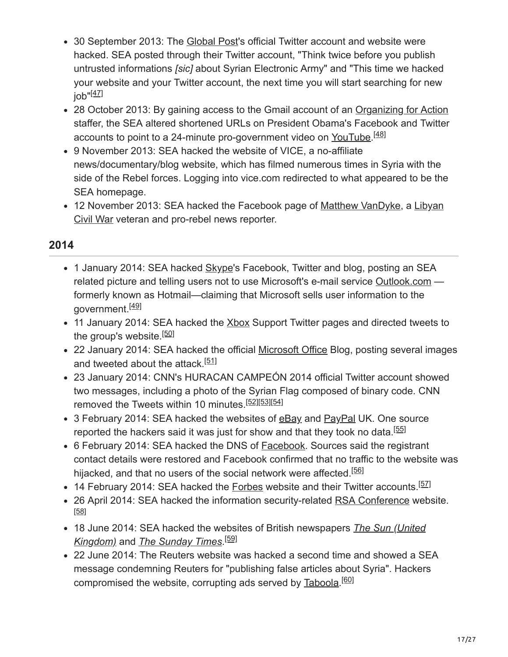- 30 September 2013: The [Global Post](https://en.wikipedia.org/wiki/Global_Post)'s official Twitter account and website were hacked. SEA posted through their Twitter account, "Think twice before you publish untrusted informations *[sic]* about Syrian Electronic Army" and "This time we hacked your website and your Twitter account, the next time you will start searching for new job"<sup>[<u>47]</u></sup>
- 28 October 2013: By gaining access to the Gmail account of an [Organizing for Action](https://en.wikipedia.org/wiki/Organizing_for_Action) staffer, the SEA altered shortened URLs on President Obama's Facebook and Twitter accounts to point to a 24-minute pro-government video on [YouTube](https://en.wikipedia.org/wiki/YouTube).<sup>[48]</sup>
- 9 November 2013: SEA hacked the website of VICE, a no-affiliate news/documentary/blog website, which has filmed numerous times in Syria with the side of the Rebel forces. Logging into vice.com redirected to what appeared to be the SEA homepage.
- [12 November 2013: SEA hacked the Facebook page of Matthew VanDyke, a Libyan](https://en.wikipedia.org/wiki/2011_Libyan_Civil_War) Civil War veteran and pro-rebel news reporter.

## **2014**

- 1 January 2014: SEA hacked [Skype](https://en.wikipedia.org/wiki/Skype)'s Facebook, Twitter and blog, posting an SEA related picture and telling users not to use Microsoft's e-mail service [Outlook.com](https://en.wikipedia.org/wiki/Outlook.com) formerly known as Hotmail—claiming that Microsoft sells user information to the government.<sup>[49]</sup>
- 11 January 2014: SEA hacked the [Xbox](https://en.wikipedia.org/wiki/Xbox) Support Twitter pages and directed tweets to the group's website.<sup>[50]</sup>
- 22 January 2014: SEA hacked the official [Microsoft Office](https://en.wikipedia.org/wiki/Microsoft_Office) Blog, posting several images and tweeted about the attack.<sup>[51]</sup>
- 23 January 2014: CNN's HURACAN CAMPEÓN 2014 official Twitter account showed two messages, including a photo of the Syrian Flag composed of binary code. CNN removed the Tweets within 10 minutes.<sup>[52][53][54]</sup>
- 3 February 2014: SEA hacked the websites of [eBay](https://en.wikipedia.org/wiki/EBay) and [PayPal](https://en.wikipedia.org/wiki/PayPal) UK. One source reported the hackers said it was just for show and that they took no data.<sup>[55]</sup>
- 6 February 2014: SEA hacked the DNS of [Facebook.](https://en.wikipedia.org/wiki/Facebook) Sources said the registrant contact details were restored and Facebook confirmed that no traffic to the website was hijacked, and that no users of the social network were affected.<sup>[56]</sup>
- 14 February 2014: SEA hacked the **[Forbes](https://en.wikipedia.org/wiki/Forbes)** website and their Twitter accounts.<sup>[57]</sup>
- 26 April 2014: SEA hacked the information security-related [RSA Conference](https://en.wikipedia.org/wiki/RSA_Conference) website. [58]
- [18 June 2014: SEA hacked the websites of British newspapers](https://en.wikipedia.org/wiki/The_Sun_(United_Kingdom)) *The Sun (United Kingdom)* and *[The Sunday Times](https://en.wikipedia.org/wiki/The_Sunday_Times)*. [59]
- 22 June 2014: The Reuters website was hacked a second time and showed a SEA message condemning Reuters for "publishing false articles about Syria". Hackers compromised the website, corrupting ads served by [Taboola.](https://en.wikipedia.org/wiki/Taboola)<sup>[60]</sup>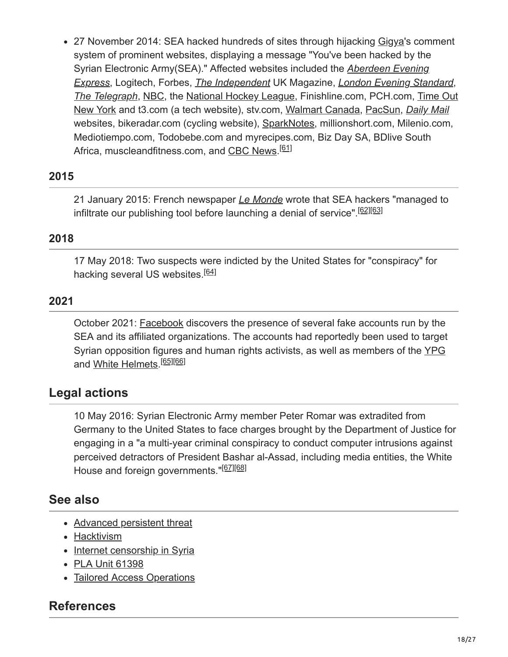27 November 2014: SEA hacked hundreds of sites through hijacking [Gigya'](https://en.wikipedia.org/wiki/Gigya)s comment system of prominent websites, displaying a message "You've been hacked by the [Syrian Electronic Army\(SEA\)." Affected websites included the](https://en.wikipedia.org/wiki/Aberdeen_Evening_Express) *Aberdeen Evening Express*, Logitech, Forbes, *[The Independent](https://en.wikipedia.org/wiki/The_Independent)* UK Magazine, *[London Evening Standard](https://en.wikipedia.org/wiki/London_Evening_Standard)*, *[The Telegraph](https://en.wikipedia.org/wiki/The_Daily_Telegraph)*, [NBC,](https://en.wikipedia.org/wiki/NBC) the [National Hockey League,](https://en.wikipedia.org/wiki/National_Hockey_League) Finishline.com, PCH.com, Time Out [New York and t3.com \(a tech website\), stv.com, Walmart Canada, PacSun,](https://en.wikipedia.org/wiki/Time_Out_New_York) *[Daily Mail](https://en.wikipedia.org/wiki/Mail_Online)* websites, bikeradar.com (cycling website), [SparkNotes](https://en.wikipedia.org/wiki/SparkNotes), millionshort.com, Milenio.com, Mediotiempo.com, Todobebe.com and myrecipes.com, Biz Day SA, BDlive South Africa, muscleandfitness.com, and [CBC News.](https://en.wikipedia.org/wiki/CBC_News)<sup>[61]</sup>

## **2015**

21 January 2015: French newspaper *[Le Monde](https://en.wikipedia.org/wiki/Le_Monde)* wrote that SEA hackers "managed to infiltrate our publishing tool before launching a denial of service".<sup>[62][63]</sup>

### **2018**

17 May 2018: Two suspects were indicted by the United States for "conspiracy" for hacking several US websites.<sup>[64]</sup>

### **2021**

October 2021: [Facebook](https://en.wikipedia.org/wiki/Facebook) discovers the presence of several fake accounts run by the SEA and its affiliated organizations. The accounts had reportedly been used to target Syrian opposition figures and human rights activists, as well as members of the [YPG](https://en.wikipedia.org/wiki/YPG) and <u>White Helmets</u>.<sup>[65][66]</sup>

# **Legal actions**

10 May 2016: Syrian Electronic Army member Peter Romar was extradited from Germany to the United States to face charges brought by the Department of Justice for engaging in a "a multi-year criminal conspiracy to conduct computer intrusions against perceived detractors of President Bashar al-Assad, including media entities, the White House and foreign governments."<sup>[67][68]</sup>

## **See also**

- [Advanced persistent threat](https://en.wikipedia.org/wiki/Advanced_persistent_threat)
- [Hacktivism](https://en.wikipedia.org/wiki/Hacktivism)
- [Internet censorship in Syria](https://en.wikipedia.org/wiki/Internet_censorship_in_Syria)
- [PLA Unit 61398](https://en.wikipedia.org/wiki/PLA_Unit_61398)
- [Tailored Access Operations](https://en.wikipedia.org/wiki/Tailored_Access_Operations)

## **References**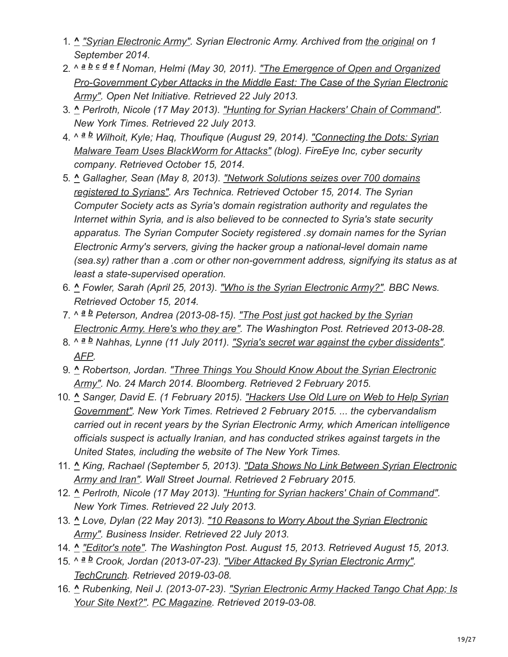- 1. **^** *["Syrian Electronic Army".](https://web.archive.org/web/20140901205100/http://www.sea.sy/index/en#story) Syrian Electronic Army. Archived from [the original](http://www.sea.sy/index/en#story) on 1 September 2014.*
- 2. ^ *Noman, Helmi (May 30, 2011). "The Emergence of Open and Organized a b c d e f [Pro-Government Cyber Attacks in the Middle East: The Case of the Syrian Electronic](https://opennet.net/emergence-open-and-organized-pro-government-cyber-attacks-middle-east-case-syrian-electronic-army) Army". Open Net Initiative. Retrieved 22 July 2013.*
- 3. **^** *Perlroth, Nicole (17 May 2013). ["Hunting for Syrian Hackers' Chain of Command".](https://www.nytimes.com/2013/05/18/technology/financial-times-site-is-hacked.html?pagewanted=all&_r=0) New York Times. Retrieved 22 July 2013.*
- 4. ^ <sup>a b</sup> Wilhoit, Kyle; Haq, Thoufique (August 29, 2014). <u>"Connecting the Dots: Syrian</u> *Malware Team Uses BlackWorm for Attacks" (blog). FireEye Inc, cyber security company. Retrieved October 15, 2014.*
- 5. **^** *Gallagher, Sean (May 8, 2013). "Network Solutions seizes over 700 domains [registered to Syrians". Ars Technica. Retrieved October 15, 2014. The Syrian](https://arstechnica.com/tech-policy/2013/05/network-solutions-seized-over-700-domains-registered-to-syrians/) Computer Society acts as Syria's domain registration authority and regulates the Internet within Syria, and is also believed to be connected to Syria's state security apparatus. The Syrian Computer Society registered .sy domain names for the Syrian Electronic Army's servers, giving the hacker group a national-level domain name (sea.sy) rather than a .com or other non-government address, signifying its status as at least a state-supervised operation.*
- 6. **^** *Fowler, Sarah (April 25, 2013). ["Who is the Syrian Electronic Army?".](https://www.bbc.co.uk/news/world-middle-east-22287326) BBC News. Retrieved October 15, 2014.*
- 7. ^ <sup>a b</sup> Peterson, Andrea (2013-08-15). <u>"The Post just got hacked by the Syrian</u> *[Electronic Army. Here's who they are". The Washington Post. Retrieved 2013](https://www.washingtonpost.com/blogs/the-switch/wp/2013/08/15/the-post-just-got-hacked-by-the-syrian-electronic-army-heres-who-they-are/)-08-28.*
- 8. ^  $a$  *b* Nahhas, Lynne (11 July 2011). <u>["Syria's secret war against the cyber dissidents"](https://sg.news.yahoo.com/syrias-secret-war-against-cyber-dissidents-150030382.html)</u>. *[AFP](https://en.wikipedia.org/wiki/Agence_France-Presse).*
- 9. **^** *[Robertson, Jordan. "Three Things You Should Know About the Syrian Electronic](https://www.bloomberg.com/news/articles/2014-03-24/three-things-you-should-know-about-the-syrian-electronic-army) Army". No. 24 March 2014. Bloomberg. Retrieved 2 February 2015.*
- 10. **^** *[Sanger, David E. \(1 February 2015\). "Hackers Use Old Lure on Web to Help Syrian](https://www.nytimes.com/2015/02/02/world/middleeast/hackers-use-old-web-lure-to-aid-assad.html?_r=0) Government". New York Times. Retrieved 2 February 2015. ... the cybervandalism carried out in recent years by the Syrian Electronic Army, which American intelligence officials suspect is actually Iranian, and has conducted strikes against targets in the United States, including the website of The New York Times.*
- 11. **^** *[King, Rachael \(September 5, 2013\). "Data Shows No Link Between Syrian Electronic](https://blogs.wsj.com/cio/2013/09/05/data-shows-no-link-between-syrian-electronic-army-and-iran/) Army and Iran". Wall Street Journal. Retrieved 2 February 2015.*
- 12. **^** *Perlroth, Nicole (17 May 2013). ["Hunting for Syrian hackers' Chain of Command".](https://www.nytimes.com/2013/05/18/technology/financial-times-site-is-hacked.html?pagewanted=all&_r=0) New York Times. Retrieved 22 July 2013.*
- 13. **^** *[Love, Dylan \(22 May 2013\). "10 Reasons to Worry About the Syrian Electronic](http://www.businessinsider.com/syrian-electronic-army-2013-5?op=1) Army". Business Insider. Retrieved 22 July 2013.*
- 14. **^** *["Editor's note"](https://www.washingtonpost.com/blogs/ask-the-post/wp/2013/08/15/editors-note/). The Washington Post. August 15, 2013. Retrieved August 15, 2013.*
- 15. ^ a b Crook, Jordan (2013-07-23). ["Viber Attacked By Syrian Electronic Army"](https://techcrunch.com/2013/07/23/viber-attacked-by-syrian-electronic-army/). *[TechCrunch](https://en.wikipedia.org/wiki/TechCrunch). Retrieved 2019-03-08.*
- 16. **^** *[Rubenking, Neil J. \(2013-07-23\). "Syrian Electronic Army Hacked Tango Chat App; Is](https://securitywatch.pcmag.com/hacking/313992-syrian-electronic-army-hacked-tango-chat-app-is-your-site-next) Your Site Next?". [PC Magazine](https://en.wikipedia.org/wiki/PC_Magazine). Retrieved 2019-03-08.*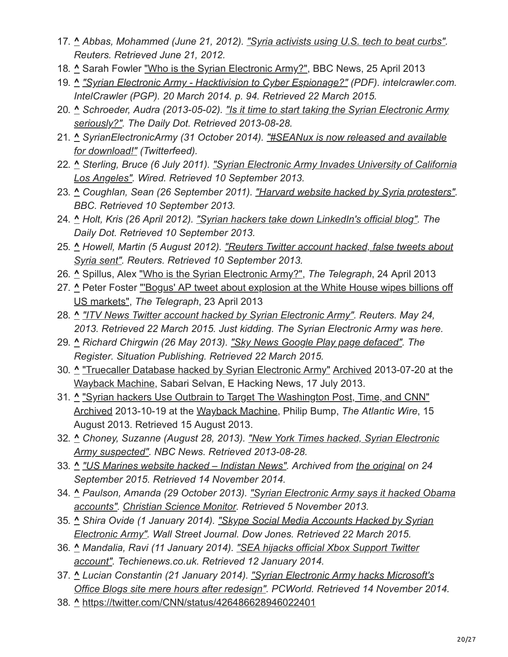- 17. **^** *Abbas, Mohammed (June 21, 2012). ["Syria activists using U.S. tech to beat curbs".](https://www.reuters.com/article/us-syria-us-technology-idUSBRE85K14C20120621) Reuters. Retrieved June 21, 2012.*
- 18. **^** Sarah Fowler ["Who is the Syrian Electronic Army?"](https://www.bbc.co.uk/news/world-middle-east-22287326), BBC News, 25 April 2013
- 19. **^** *["Syrian Electronic Army Hacktivision to Cyber Espionage?"](http://intelcrawler.com/ic-sea.pdf) (PDF). intelcrawler.com. IntelCrawler (PGP). 20 March 2014. p. 94. Retrieved 22 March 2015.*
- 20. **^** *[Schroeder, Audra \(2013-05-02\). "Is it time to start taking the Syrian Electronic Army](http://www.dailydot.com/society/syrian-electronic-army-twitter-hack-interview/) seriously?". The Daily Dot. Retrieved 2013-08-28.*
- 21. **^** *[SyrianElectronicArmy \(31 October 2014\). "#SEANux is now released and available](https://twitter.com/Official_SEA16/status/528305997513633792) for download!" (Twitterfeed).*
- 22. **^** *[Sterling, Bruce \(6 July 2011\). "Syrian Electronic Army Invades University of California](https://www.wired.com/beyond_the_beyond/2011/07/syrian-electronic-army-invades-university-of-california-los-angeles) Los Angeles". Wired. Retrieved 10 September 2013.*
- 23. **^** *Coughlan, Sean (26 September 2011). ["Harvard website hacked by Syria protesters"](https://www.bbc.co.uk/news/education-15061377). BBC. Retrieved 10 September 2013.*
- 24. **^** *Holt, Kris (26 April 2012). ["Syrian hackers take down LinkedIn's official blog".](http://www.dailydot.com/news/syrian-hackers-linked-in-blog-hack/) The Daily Dot. Retrieved 10 September 2013.*
- 25. **^** *[Howell, Martin \(5 August 2012\). "Reuters Twitter account hacked, false tweets about](https://www.reuters.com/article/net-us-reuters-syria-hacking-idUSBRE8721B420120806) Syria sent". Reuters. Retrieved 10 September 2013.*
- 26. **^** Spillus, Alex ["Who is the Syrian Electronic Army?"](https://www.telegraph.co.uk/news/worldnews/middleeast/syria/10014982/Who-is-the-Syrian-Electronic-Army.html), *The Telegraph*, 24 April 2013
- 27. **^** [Peter Foster "'Bogus' AP tweet about explosion at the White House wipes billions off](https://www.telegraph.co.uk/finance/markets/10013768/Bogus-AP-tweet-about-explosion-at-the-White-House-wipes-billions-off-US-markets.html) US markets", *The Telegraph*, 23 April 2013
- 28. **^** *["ITV News Twitter account hacked by Syrian Electronic Army".](https://www.reuters.com/article/net-us-itv-news-hackers-idUSBRE94N0NC20130524) Reuters. May 24, 2013. Retrieved 22 March 2015. Just kidding. The Syrian Electronic Army was here.*
- 29. **^** *Richard Chirgwin (26 May 2013). ["Sky News Google Play page defaced"](https://www.theregister.co.uk/2013/05/26/sky_news_google_play_hack/). The Register. Situation Publishing. Retrieved 22 March 2015.*
- 30. **^** ["Truecaller Database hacked by Syrian Electronic Army"](http://www.ehackingnews.com/2013/07/truecaller-database-hacked-by-syrian.html) [Archived](https://web.archive.org/web/20130720233655/http://www.ehackingnews.com/2013/07/truecaller-database-hacked-by-syrian.html) 2013-07-20 at the [Wayback Machine,](https://en.wikipedia.org/wiki/Wayback_Machine) Sabari Selvan, E Hacking News, 17 July 2013.
- 31. **^** ["Syrian hackers Use Outbrain to Target The Washington Post, Time, and CNN"](http://www.theatlanticwire.com/global/2013/08/syrian-hackers-use-outbrain-target-washington-post-time-and-cnn/68370/) [Archived](https://web.archive.org/web/20131019134758/http://www.theatlanticwire.com/global/2013/08/syrian-hackers-use-outbrain-target-washington-post-time-and-cnn/68370/) 2013-10-19 at the [Wayback Machine](https://en.wikipedia.org/wiki/Wayback_Machine), Philip Bump, *The Atlantic Wire*, 15 August 2013. Retrieved 15 August 2013.
- 32. **^** *[Choney, Suzanne \(August 28, 2013\). "New York Times hacked, Syrian Electronic](http://www.nbcnews.com/technology/new-york-times-hacked-syrian-electronic-army-suspected-8C11016739) Army suspected". NBC News. Retrieved 2013-08-28.*
- 33. **^** *["US Marines website hacked Indistan News"](https://web.archive.org/web/20150924034508/http://www.indistannews.com/us-marines-website-hacked/). Archived from [the original](http://www.indistannews.com/us-marines-website-hacked/) on 24 September 2015. Retrieved 14 November 2014.*
- 34. **^** *[Paulson, Amanda \(29 October 2013\). "Syrian Electronic Army says it hacked Obama](http://www.csmonitor.com/USA/DC-Decoder/Decoder-Wire/2013/1029/Syrian-Electronic-Army-says-it-hacked-Obama-accounts) accounts". [Christian Science Monitor.](https://en.wikipedia.org/wiki/Christian_Science_Monitor) Retrieved 5 November 2013.*
- 35. **^** *[Shira Ovide \(1 January 2014\). "Skype Social Media Accounts Hacked by Syrian](https://blogs.wsj.com/digits/2014/01/01/skype-social-media-accounts-hacked-by-sea/) Electronic Army". Wall Street Journal. Dow Jones. Retrieved 22 March 2015.*
- 36. **^** *[Mandalia, Ravi \(11 January 2014\). "SEA hijacks official Xbox Support Twitter](http://www.techienews.co.uk/974686/sea-hijacks-official-xbox-support-twitter-account/) account". Techienews.co.uk. Retrieved 12 January 2014.*
- 37. **^** *Lucian Constantin (21 January 2014). "Syrian Electronic Army hacks Microsoft's [Office Blogs site mere hours after redesign". PCWorld. Retrieved 14 November 20](http://www.pcworld.com/article/2089820/syrian-electronic-army-hacks-microsofts-office-blogs-site.html)14.*
- 38. **^** <https://twitter.com/CNN/status/426486628946022401>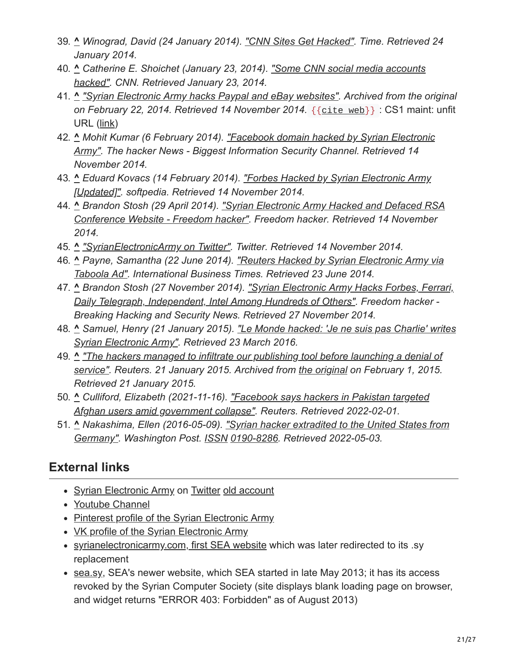- 39. **^** *Winograd, David (24 January 2014). ["CNN Sites Get Hacked".](http://techland.time.com/2014/01/23/cnn-sites-get-hacked/) Time. Retrieved 24 January 2014.*
- 40. **^** *[Catherine E. Shoichet \(January 23, 2014\). "Some CNN social media accounts](http://www.cnn.com/2014/01/23/tech/cnn-accounts-hacked/index.html?hpt=hp_t2) hacked". CNN. Retrieved January 23, 2014.*
- 41. **^** *["Syrian Electronic Army hacks Paypal and eBay websites".](https://web.archive.org/web/20140222065145/http://www.theinquirer.net/inquirer/news/2326417/syrian-electronic-army-hacks-paypal-and-ebay-websites) Archived from the original on February 22, 2014. Retrieved 14 November 2014.* {{[cite](https://en.wikipedia.org/wiki/Template:Cite_web) web}} : CS1 maint: unfit URL [\(link](https://en.wikipedia.org/wiki/Category:CS1_maint:_unfit_URL))
- 42. **^** *[Mohit Kumar \(6 February 2014\). "Facebook domain hacked by Syrian Electronic](http://thehackernews.com/2014/02/facebook-domain-hacked-by-syrian.html#) Army". The hacker News - Biggest Information Security Channel. Retrieved 14 November 2014.*
- 43. **^** *[Eduard Kovacs \(14 February 2014\). "Forbes Hacked by Syrian Electronic Army](http://news.softpedia.com/news/Forbes-Hacked-by-Syrian-Electronic-Army-426797.shtml) [Updated]". softpedia. Retrieved 14 November 2014.*
- 44. **^** *Brandon Stosh (29 April 2014). "Syrian Electronic Army Hacked and Defaced RSA [Conference Website - Freedom hacker". Freedom hacker. Retrieved 14 November](http://freedomhacker.net/2014-04-syrian-electronic-army-hacked-and-defaced-rsa-conference-website/) 2014.*
- 45. **^** *["SyrianElectronicArmy on Twitter".](https://twitter.com/Official_SEA16/statuses/479229118236487681) Twitter. Retrieved 14 November 2014.*
- 46. **^** *[Payne, Samantha \(22 June 2014\). "Reuters Hacked by Syrian Electronic Army via](http://www.ibtimes.co.uk/reuters-hacked-by-syrian-electronic-army-via-taboola-ad-1453717) Taboola Ad". International Business Times. Retrieved 23 June 2014.*
- 47. **^** *[Brandon Stosh \(27 November 2014\). "Syrian Electronic Army Hacks Forbes, Ferrari,](http://freedomhacker.net/syrian-electronic-army-hacks-ferrari-forbes-daily-telegraph-independent-intel-and-more-3473/) Daily Telegraph, Independent, Intel Among Hundreds of Others". Freedom hacker - Breaking Hacking and Security News. Retrieved 27 November 2014.*
- 48. **^** *[Samuel, Henry \(21 January 2015\). "Le Monde hacked: 'Je ne suis pas Charlie' writes](https://www.telegraph.co.uk/news/worldnews/europe/france/11359732/Le-Monde-hacked-Je-ne-suis-pas-Charlie-writes-Syrian-Electronic-Army.html) Syrian Electronic Army". Retrieved 23 March 2016.*
- 49. **^** *"The hackers managed to infiltrate our publishing tool before launching a denial of [service". Reuters. 21 January 2015. Archived from the original on February 1, 2015.](https://web.archive.org/web/20150201211105/http://www.cnbc.com/id/102353621) Retrieved 21 January 2015.*
- 50. **^** *[Culliford, Elizabeth \(2021-11-16\). "Facebook says hackers in Pakistan targeted](https://www.reuters.com/world/asia-pacific/exclusive-facebook-says-hackers-pakistan-targeted-afghan-users-amid-government-2021-11-16/) Afghan users amid government collapse". Reuters. Retrieved 2022-02-01.*
- 51. **^** *[Nakashima, Ellen \(2016-05-09\). "Syrian hacker extradited to the United States from](https://www.washingtonpost.com/world/national-security/syrian-hacker-extradited-to-the-united-states-from-germany/2016/05/09/eb855654-15fa-11e6-aa55-670cabef46e0_story.html) Germany". Washington Post. [ISSN](https://en.wikipedia.org/wiki/ISSN_(identifier)) [0190-8286](https://www.worldcat.org/issn/0190-8286). Retrieved 2022-05-03.*

# **External links**

- [Syrian Electronic Army](https://twitter.com/Official_SEA16) on [Twitter](https://en.wikipedia.org/wiki/Twitter) [old account](https://web.archive.org/web/20130606114413/https://twitter.com/Official_SEA12)
- [Youtube Channel](https://www.youtube.com/user/syrianes0/videos)
- [Pinterest profile of the Syrian Electronic Army](https://www.pinterest.fr/officialsea/)
- [VK profile of the Syrian Electronic Army](https://vk.com/syrianelectronicarmy)
- [syrianelectronicarmy.com, first SEA website](https://web.archive.org/web/20161107053045/http://syrianelectronicarmy.com/) which was later redirected to its .sy replacement
- [sea.sy,](https://web.archive.org/web/20140901205100/http://www.sea.sy/index/en) SEA's newer website, which SEA started in late May 2013; it has its access revoked by the Syrian Computer Society (site displays blank loading page on browser, and widget returns "ERROR 403: Forbidden" as of August 2013)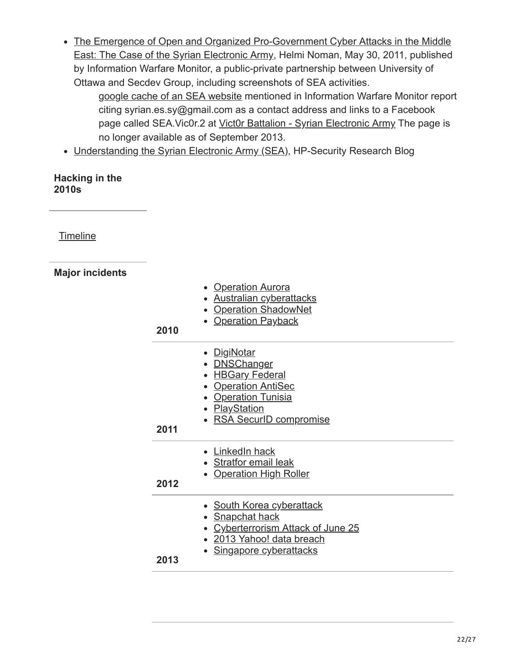The Emergence of Open and Organized Pro-Government Cyber Attacks in the Middle [East: The Case of the Syrian Electronic Army, Helmi Noman, May 30, 2011, published](https://web.archive.org/web/20130906105632/http://www.infowar-monitor.net/2011/05/7349/) by Information Warfare Monitor, a public-private partnership between University of Ottawa and Secdev Group, including screenshots of SEA activities.

[google cache of an SEA website](http://webcache.googleusercontent.com/search?q=cache:9qIv27_yMM8J:www.sea.sy/Videos_EN&client=ubuntu&hl=en&gl=us&strip=1) mentioned in Information Warfare Monitor report citing syrian.es.sy@gmail.com as a contact address and links to a Facebook page called SEA. Vic0r.2 at [Vict0r Battalion - Syrian Electronic Army](https://web.archive.org/web/20130828141809/https://facebook.com/SEA.Vict0r.2) The page is no longer available as of September 2013.

• [Understanding the Syrian Electronic Army \(SEA\)](https://web.archive.org/web/20140920195345/http://h30499.www3.hp.com/t5/HP-Security-Research-Blog/Understanding-the-Syrian-Electronic-Army-SEA/ba-p/6040559), HP-Security Research Blog

#### **Hacking in the 2010s**

**[Timeline](https://en.wikipedia.org/wiki/Timeline_of_computer_security_hacker_history#2010s)** 

## **Major incidents**

| 2010 | • Operation Aurora<br>• Australian cyberattacks<br>• Operation ShadowNet<br><b>Operation Payback</b>                                              |
|------|---------------------------------------------------------------------------------------------------------------------------------------------------|
| 2011 | • DigiNotar<br>• <b>DNSChanger</b><br>• HBGary Federal<br>• Operation AntiSec<br>• Operation Tunisia<br>· PlayStation<br>• RSA SecurID compromise |
| 2012 | • LinkedIn hack<br>• Stratfor email leak<br><b>Operation High Roller</b>                                                                          |
| 2013 | • South Korea cyberattack<br><b>Snapchat hack</b><br><b>Cyberterrorism Attack of June 25</b><br>2013 Yahoo! data breach<br>Singapore cyberattacks |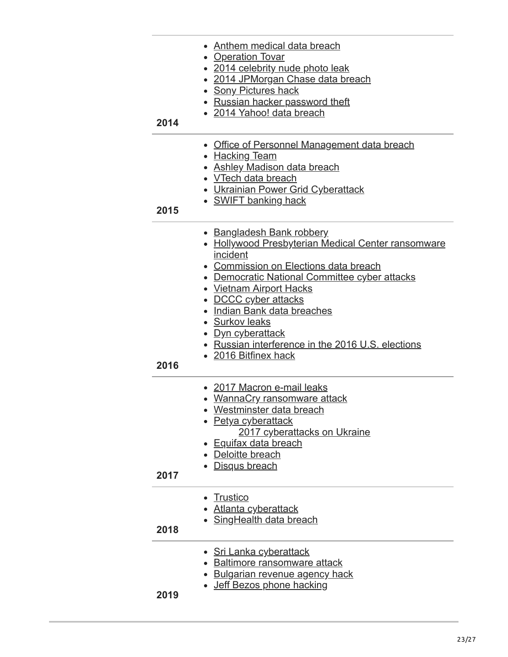| 2014 | • Anthem medical data breach<br>• Operation Tovar<br>• 2014 celebrity nude photo leak<br>• 2014 JPMorgan Chase data breach<br><b>Sony Pictures hack</b><br>• Russian hacker password theft<br>• 2014 Yahoo! data breach                                                                                                                                                                           |
|------|---------------------------------------------------------------------------------------------------------------------------------------------------------------------------------------------------------------------------------------------------------------------------------------------------------------------------------------------------------------------------------------------------|
| 2015 | Office of Personnel Management data breach<br>• Hacking Team<br>• Ashley Madison data breach<br>• VTech data breach<br><b>Ukrainian Power Grid Cyberattack</b><br>• SWIFT banking hack                                                                                                                                                                                                            |
| 2016 | • Bangladesh Bank robbery<br>• Hollywood Presbyterian Medical Center ransomware<br>incident<br>• Commission on Elections data breach<br>• Democratic National Committee cyber attacks<br><b>Vietnam Airport Hacks</b><br>DCCC cyber attacks<br>Indian Bank data breaches<br>• Surkov leaks<br><u>Dyn cyberattack</u><br>• Russian interference in the 2016 U.S. elections<br>• 2016 Bitfinex hack |
| 2017 | • 2017 Macron e-mail leaks<br>• WannaCry ransomware attack<br>Westminster data breach<br>• Petya cyberattack<br>2017 cyberattacks on Ukraine<br><b>Equifax data breach</b><br>Deloitte breach<br>Disqus breach                                                                                                                                                                                    |
| 2018 | <b>Trustico</b><br><u>Atlanta cyberattack</u><br>• SingHealth data breach                                                                                                                                                                                                                                                                                                                         |
| 2019 | • Sri Lanka cyberattack<br><b>Baltimore ransomware attack</b><br><b>Bulgarian revenue agency hack</b><br>Jeff Bezos phone hacking                                                                                                                                                                                                                                                                 |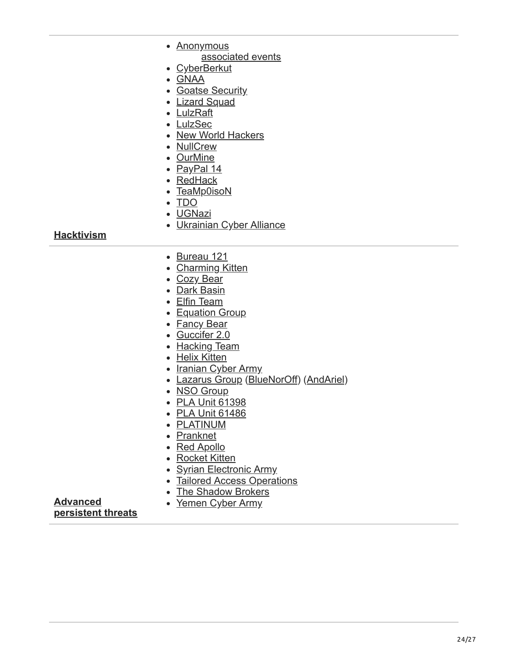|                   | • Anonymous                             |
|-------------------|-----------------------------------------|
|                   | associated events                       |
|                   | • CyberBerkut                           |
|                   | • GNAA                                  |
|                   | • Goatse Security                       |
|                   | • Lizard Squad                          |
|                   | • LulzRaft                              |
|                   | • LulzSec                               |
|                   | • New World Hackers                     |
|                   | • NullCrew                              |
|                   | • OurMine                               |
|                   | • <u>PayPal 14</u>                      |
|                   | • RedHack                               |
|                   | • TeaMp0isoN                            |
|                   | $\bullet$ TDO                           |
|                   | • <u>UGNazi</u>                         |
|                   | • Ukrainian Cyber Alliance              |
| <b>Hacktivism</b> |                                         |
|                   | • Bureau 121                            |
|                   | • Charming Kitten                       |
|                   | • Cozy Bear                             |
|                   | • Dark Basin                            |
|                   | • Elfin Team                            |
|                   | • Equation Group                        |
|                   | • Fancy Bear                            |
|                   | · Guccifer 2.0                          |
|                   | • Hacking Team                          |
|                   | • Helix Kitten                          |
|                   | • Iranian Cyber Army                    |
|                   | • Lazarus Group (BlueNorOff) (AndAriel) |
|                   | • NSO Group                             |
|                   | • PLA Unit 61398                        |
|                   | • PLA Unit 61486                        |
|                   | • PLATINUM                              |
|                   | • Pranknet                              |
|                   | • Red Apollo                            |
|                   | • Rocket Kitten                         |
|                   | • Syrian Electronic Army                |

- [Tailored Access Operations](https://en.wikipedia.org/wiki/Tailored_Access_Operations)
- [The Shadow Brokers](https://en.wikipedia.org/wiki/The_Shadow_Brokers)
- [Yemen Cyber Army](https://en.wikipedia.org/wiki/Yemen_Cyber_Army)

**Advanced [persistent threats](https://en.wikipedia.org/wiki/Advanced_persistent_threat)**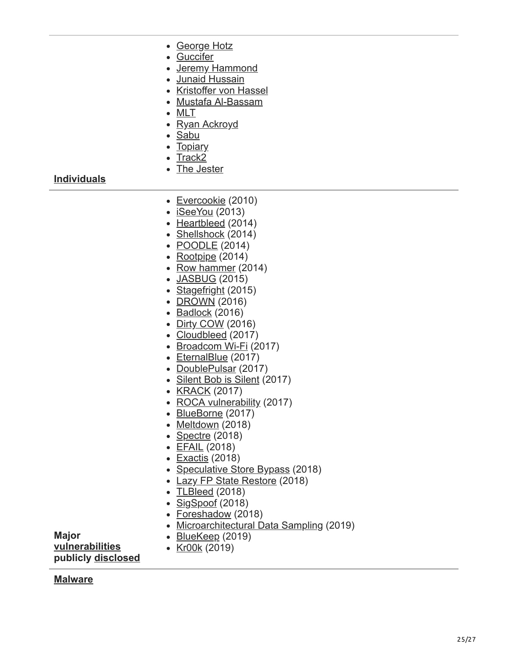- [George Hotz](https://en.wikipedia.org/wiki/George_Hotz)
- [Guccifer](https://en.wikipedia.org/wiki/Guccifer)
- [Jeremy Hammond](https://en.wikipedia.org/wiki/Jeremy_Hammond)
- [Junaid Hussain](https://en.wikipedia.org/wiki/Junaid_Hussain)
- [Kristoffer von Hassel](https://en.wikipedia.org/wiki/Kristoffer_von_Hassel)
- [Mustafa Al-Bassam](https://en.wikipedia.org/wiki/Mustafa_Al-Bassam)
- [MLT](https://en.wikipedia.org/wiki/MLT_(hacktivist))
- [Ryan Ackroyd](https://en.wikipedia.org/wiki/Ryan_Ackroyd)
- [Sabu](https://en.wikipedia.org/wiki/Hector_Monsegur)
- [Topiary](https://en.wikipedia.org/wiki/Topiary_(hacktivist))
- $\bullet$  [Track2](https://en.wikipedia.org/wiki/Roman_Seleznev)
- [The Jester](https://en.wikipedia.org/wiki/The_Jester_(hacktivist))

**[Individuals](https://en.wikipedia.org/wiki/Hacker)**

- [Evercookie](https://en.wikipedia.org/wiki/Evercookie) (2010)
- $\bullet$  [iSeeYou](https://en.wikipedia.org/wiki/ISeeYou) (2013)
- [Heartbleed](https://en.wikipedia.org/wiki/Heartbleed) (2014)
- [Shellshock](https://en.wikipedia.org/wiki/Shellshock_(software_bug)) (2014)
- **[POODLE](https://en.wikipedia.org/wiki/POODLE)** (2014)
- $\cdot$  [Rootpipe](https://en.wikipedia.org/wiki/Rootpipe) (2014)
- [Row hammer](https://en.wikipedia.org/wiki/Row_hammer)  $(2014)$
- [JASBUG](https://en.wikipedia.org/wiki/JASBUG) (2015)
- [Stagefright](https://en.wikipedia.org/wiki/Stagefright_(bug)) (2015)
- [DROWN](https://en.wikipedia.org/wiki/DROWN_attack) (2016)
- $\bullet$  [Badlock](https://en.wikipedia.org/wiki/Badlock) (2016)
- [Dirty COW](https://en.wikipedia.org/wiki/Dirty_COW) (2016)
- [Cloudbleed](https://en.wikipedia.org/wiki/Cloudbleed) (2017)
- [Broadcom Wi-Fi](https://en.wikipedia.org/wiki/Broadcom_Corporation#soc-wifi-vulns) (2017)
- [EternalBlue](https://en.wikipedia.org/wiki/EternalBlue) (2017)
- [DoublePulsar](https://en.wikipedia.org/wiki/DoublePulsar) (2017)
- [Silent Bob is Silent](https://en.wikipedia.org/wiki/Intel_Active_Management_Technology#Silent_Bob_is_Silent) (2017)
- [KRACK](https://en.wikipedia.org/wiki/KRACK) (2017)
- [ROCA vulnerability](https://en.wikipedia.org/wiki/ROCA_vulnerability) (2017)
- [BlueBorne](https://en.wikipedia.org/wiki/BlueBorne_(security_vulnerability)) (2017)
- [Meltdown](https://en.wikipedia.org/wiki/Meltdown_(security_vulnerability)) (2018)
- [Spectre](https://en.wikipedia.org/wiki/Spectre_(security_vulnerability)) (2018)
- [EFAIL](https://en.wikipedia.org/wiki/EFAIL) (2018)
- [Exactis](https://en.wikipedia.org/wiki/Exactis) (2018)
- [Speculative Store Bypass](https://en.wikipedia.org/wiki/Speculative_Store_Bypass) (2018)
- [Lazy FP State Restore](https://en.wikipedia.org/wiki/Lazy_FP_State_Restore) (2018)
- [TLBleed](https://en.wikipedia.org/wiki/TLBleed) (2018)
- [SigSpoof](https://en.wikipedia.org/wiki/SigSpoof) (2018)
- [Foreshadow](https://en.wikipedia.org/wiki/Foreshadow) (2018)
- [Microarchitectural Data Sampling](https://en.wikipedia.org/wiki/Microarchitectural_Data_Sampling) (2019)

• [BlueKeep](https://en.wikipedia.org/wiki/BlueKeep) (2019) [Kr00k](https://en.wikipedia.org/wiki/Kr00k) (2019)

**[vulnerabilities](https://en.wikipedia.org/wiki/Vulnerability_(computing)) publicly [disclosed](https://en.wikipedia.org/wiki/Full_disclosure_(computer_security))**

**[Malware](https://en.wikipedia.org/wiki/Malware)**

**Major**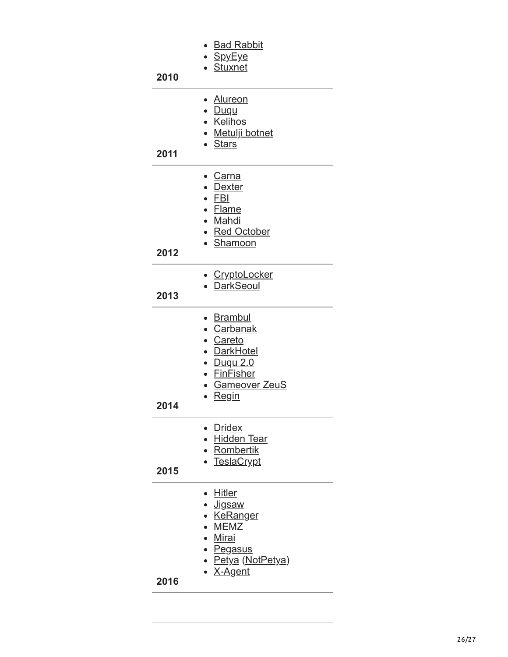| 2010 | <b>Bad Rabbit</b><br>• <u>SpyEye</u><br><b>Stuxnet</b>                                                                                   |
|------|------------------------------------------------------------------------------------------------------------------------------------------|
| 2011 | • Alureon<br>• <u>Duqu</u><br>• Kelihos<br>• Metulji botnet<br>• Stars                                                                   |
| 2012 | <b>Carna</b><br><b>Dexter</b><br>$\bullet$ FBI<br>• Flame<br>• Mahdi<br>• Red October<br>• Shamoon                                       |
| 2013 | · CryptoLocker<br><b>DarkSeoul</b>                                                                                                       |
| 2014 | ∙ <u>Brambul</u><br>• Carbanak<br>· Careto<br><b>DarkHotel</b><br><u>Duqu 2.0</u><br><b>FinFisher</b><br>· Gameover ZeuS<br><b>Regin</b> |
| 2015 | <b>Dridex</b><br>• Hidden Tear<br>• Rombertik<br><b>TeslaCrypt</b>                                                                       |
| 2016 | <b>Hitler</b><br>• Jigsaw<br>• <u>KeRanger</u><br>• MEMZ<br>• Mirai<br>• Pegasus<br>• Petya (NotPetya)<br>▸ <u>X-Agent</u>               |